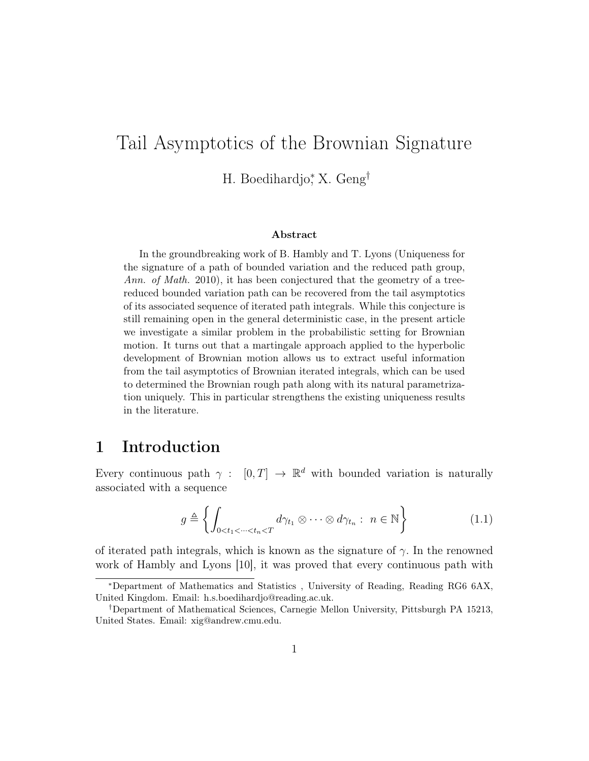# Tail Asymptotics of the Brownian Signature

H. Boedihardjo<sup>∗</sup> , X. Geng†

#### Abstract

In the groundbreaking work of B. Hambly and T. Lyons (Uniqueness for the signature of a path of bounded variation and the reduced path group, Ann. of Math. 2010), it has been conjectured that the geometry of a treereduced bounded variation path can be recovered from the tail asymptotics of its associated sequence of iterated path integrals. While this conjecture is still remaining open in the general deterministic case, in the present article we investigate a similar problem in the probabilistic setting for Brownian motion. It turns out that a martingale approach applied to the hyperbolic development of Brownian motion allows us to extract useful information from the tail asymptotics of Brownian iterated integrals, which can be used to determined the Brownian rough path along with its natural parametrization uniquely. This in particular strengthens the existing uniqueness results in the literature.

### 1 Introduction

Every continuous path  $\gamma : [0, T] \to \mathbb{R}^d$  with bounded variation is naturally associated with a sequence

$$
g \triangleq \left\{ \int_{0 < t_1 < \dots < t_n < T} d\gamma_{t_1} \otimes \dots \otimes d\gamma_{t_n} : n \in \mathbb{N} \right\} \tag{1.1}
$$

of iterated path integrals, which is known as the signature of  $\gamma$ . In the renowned work of Hambly and Lyons [10], it was proved that every continuous path with

<sup>∗</sup>Department of Mathematics and Statistics , University of Reading, Reading RG6 6AX, United Kingdom. Email: h.s.boedihardjo@reading.ac.uk.

<sup>†</sup>Department of Mathematical Sciences, Carnegie Mellon University, Pittsburgh PA 15213, United States. Email: xig@andrew.cmu.edu.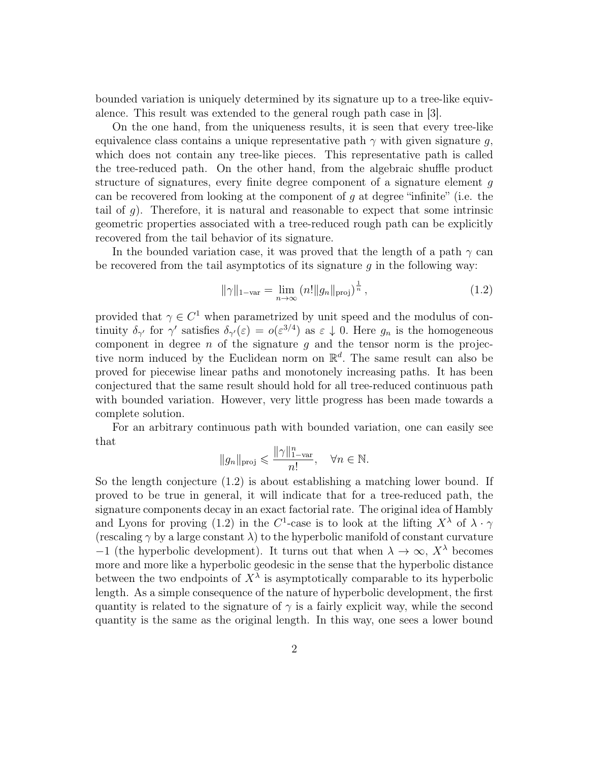bounded variation is uniquely determined by its signature up to a tree-like equivalence. This result was extended to the general rough path case in [3].

On the one hand, from the uniqueness results, it is seen that every tree-like equivalence class contains a unique representative path  $\gamma$  with given signature q, which does not contain any tree-like pieces. This representative path is called the tree-reduced path. On the other hand, from the algebraic shuffle product structure of signatures, every finite degree component of a signature element g can be recovered from looking at the component of  $q$  at degree "infinite" (i.e. the tail of  $g$ ). Therefore, it is natural and reasonable to expect that some intrinsic geometric properties associated with a tree-reduced rough path can be explicitly recovered from the tail behavior of its signature.

In the bounded variation case, it was proved that the length of a path  $\gamma$  can be recovered from the tail asymptotics of its signature  $q$  in the following way:

$$
\|\gamma\|_{1-\text{var}} = \lim_{n \to \infty} (n! \|g_n\|_{\text{proj}})^{\frac{1}{n}}, \qquad (1.2)
$$

provided that  $\gamma \in C^1$  when parametrized by unit speed and the modulus of continuity  $\delta_{\gamma'}$  for  $\gamma'$  satisfies  $\delta_{\gamma'}(\varepsilon) = o(\varepsilon^{3/4})$  as  $\varepsilon \downarrow 0$ . Here  $g_n$  is the homogeneous component in degree n of the signature q and the tensor norm is the projective norm induced by the Euclidean norm on  $\mathbb{R}^d$ . The same result can also be proved for piecewise linear paths and monotonely increasing paths. It has been conjectured that the same result should hold for all tree-reduced continuous path with bounded variation. However, very little progress has been made towards a complete solution.

For an arbitrary continuous path with bounded variation, one can easily see that

$$
||g_n||_{\text{proj}} \leqslant \frac{||\gamma||_{1-\text{var}}^n}{n!}, \quad \forall n \in \mathbb{N}.
$$

So the length conjecture (1.2) is about establishing a matching lower bound. If proved to be true in general, it will indicate that for a tree-reduced path, the signature components decay in an exact factorial rate. The original idea of Hambly and Lyons for proving (1.2) in the C<sup>1</sup>-case is to look at the lifting  $X^{\lambda}$  of  $\lambda \cdot \gamma$ (rescaling  $\gamma$  by a large constant  $\lambda$ ) to the hyperbolic manifold of constant curvature −1 (the hyperbolic development). It turns out that when  $\lambda \to \infty$ ,  $X^{\lambda}$  becomes more and more like a hyperbolic geodesic in the sense that the hyperbolic distance between the two endpoints of  $X^{\lambda}$  is asymptotically comparable to its hyperbolic length. As a simple consequence of the nature of hyperbolic development, the first quantity is related to the signature of  $\gamma$  is a fairly explicit way, while the second quantity is the same as the original length. In this way, one sees a lower bound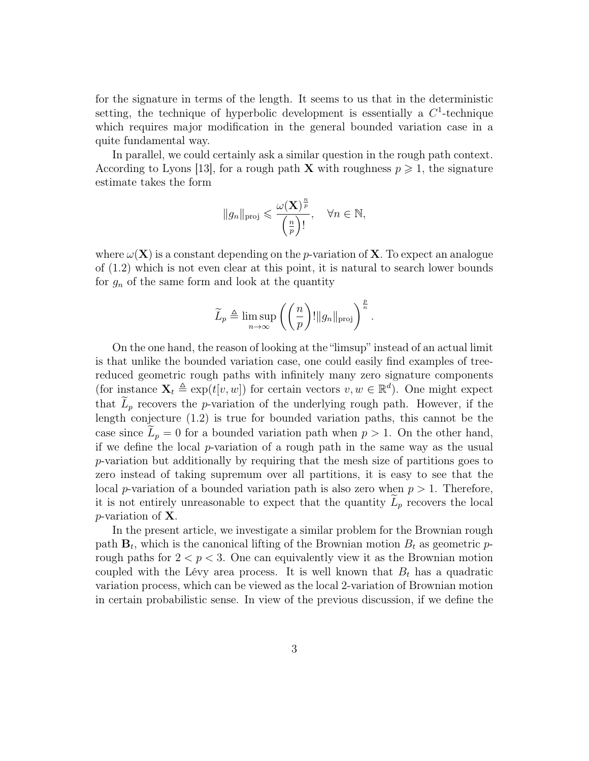for the signature in terms of the length. It seems to us that in the deterministic setting, the technique of hyperbolic development is essentially a  $C<sup>1</sup>$ -technique which requires major modification in the general bounded variation case in a quite fundamental way.

In parallel, we could certainly ask a similar question in the rough path context. According to Lyons [13], for a rough path **X** with roughness  $p \ge 1$ , the signature estimate takes the form

$$
||g_n||_{\text{proj}} \leqslant \frac{\omega(\mathbf{X})^{\frac{n}{p}}}{\left(\frac{n}{p}\right)!}, \quad \forall n \in \mathbb{N},
$$

where  $\omega(\mathbf{X})$  is a constant depending on the p-variation of **X**. To expect an analogue of (1.2) which is not even clear at this point, it is natural to search lower bounds for  $g_n$  of the same form and look at the quantity

$$
\widetilde{L}_p \triangleq \limsup_{n \to \infty} \left( \left( \frac{n}{p} \right)! ||g_n||_{\text{proj}} \right)^{\frac{p}{n}}.
$$

On the one hand, the reason of looking at the "limsup" instead of an actual limit is that unlike the bounded variation case, one could easily find examples of treereduced geometric rough paths with infinitely many zero signature components (for instance  $\mathbf{X}_t \triangleq \exp(t[v, w])$  for certain vectors  $v, w \in \mathbb{R}^d$ ). One might expect that  $L_p$  recovers the p-variation of the underlying rough path. However, if the length conjecture (1.2) is true for bounded variation paths, this cannot be the case since  $L_p = 0$  for a bounded variation path when  $p > 1$ . On the other hand, if we define the local  $p$ -variation of a rough path in the same way as the usual p-variation but additionally by requiring that the mesh size of partitions goes to zero instead of taking supremum over all partitions, it is easy to see that the local p-variation of a bounded variation path is also zero when  $p > 1$ . Therefore, it is not entirely unreasonable to expect that the quantity  $L_p$  recovers the local p-variation of X.

In the present article, we investigate a similar problem for the Brownian rough path  $\mathbf{B}_t$ , which is the canonical lifting of the Brownian motion  $B_t$  as geometric prough paths for  $2 < p < 3$ . One can equivalently view it as the Brownian motion coupled with the Lévy area process. It is well known that  $B_t$  has a quadratic variation process, which can be viewed as the local 2-variation of Brownian motion in certain probabilistic sense. In view of the previous discussion, if we define the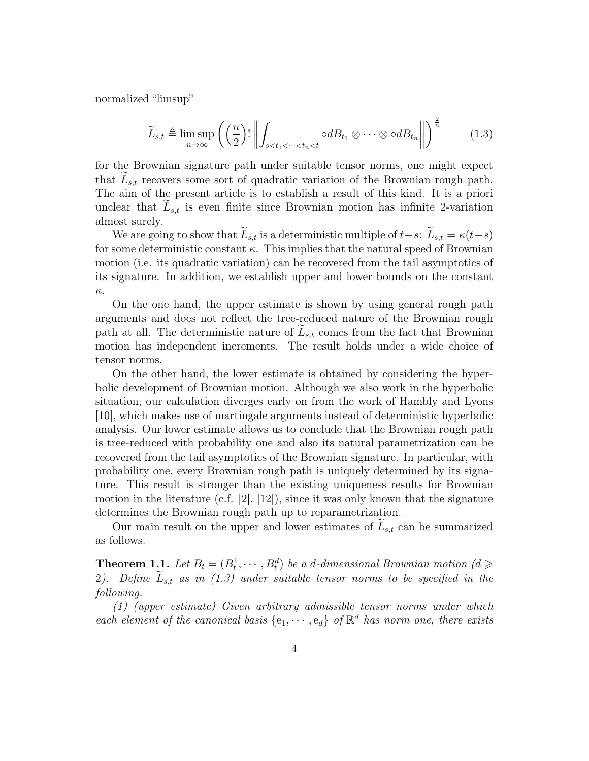normalized "limsup"

$$
\widetilde{L}_{s,t} \triangleq \limsup_{n \to \infty} \left( \left( \frac{n}{2} \right)! \left\| \int_{s < t_1 < \dots < t_n < t} \circ dB_{t_1} \otimes \dots \otimes \circ dB_{t_n} \right\| \right)^{\frac{2}{n}} \tag{1.3}
$$

for the Brownian signature path under suitable tensor norms, one might expect that  $L_{s,t}$  recovers some sort of quadratic variation of the Brownian rough path. The aim of the present article is to establish a result of this kind. It is a priori unclear that  $L_{s,t}$  is even finite since Brownian motion has infinite 2-variation almost surely.

We are going to show that  $\widetilde{L}_{s,t}$  is a deterministic multiple of  $t-s: \widetilde{L}_{s,t} = \kappa(t-s)$ for some deterministic constant  $\kappa$ . This implies that the natural speed of Brownian motion (i.e. its quadratic variation) can be recovered from the tail asymptotics of its signature. In addition, we establish upper and lower bounds on the constant κ.

On the one hand, the upper estimate is shown by using general rough path arguments and does not reflect the tree-reduced nature of the Brownian rough path at all. The deterministic nature of  $L_{s,t}$  comes from the fact that Brownian motion has independent increments. The result holds under a wide choice of tensor norms.

On the other hand, the lower estimate is obtained by considering the hyperbolic development of Brownian motion. Although we also work in the hyperbolic situation, our calculation diverges early on from the work of Hambly and Lyons [10], which makes use of martingale arguments instead of deterministic hyperbolic analysis. Our lower estimate allows us to conclude that the Brownian rough path is tree-reduced with probability one and also its natural parametrization can be recovered from the tail asymptotics of the Brownian signature. In particular, with probability one, every Brownian rough path is uniquely determined by its signature. This result is stronger than the existing uniqueness results for Brownian motion in the literature (c.f. [2], [12]), since it was only known that the signature determines the Brownian rough path up to reparametrization.

Our main result on the upper and lower estimates of  $L_{s,t}$  can be summarized as follows.

**Theorem 1.1.** Let  $B_t = (B_t^1, \dots, B_t^d)$  be a d-dimensional Brownian motion  $(d \geq$ 2). Define  $\widetilde{L}_{s,t}$  as in (1.3) under suitable tensor norms to be specified in the following.

(1) (upper estimate) Given arbitrary admissible tensor norms under which each element of the canonical basis  $\{e_1, \dots, e_d\}$  of  $\mathbb{R}^d$  has norm one, there exists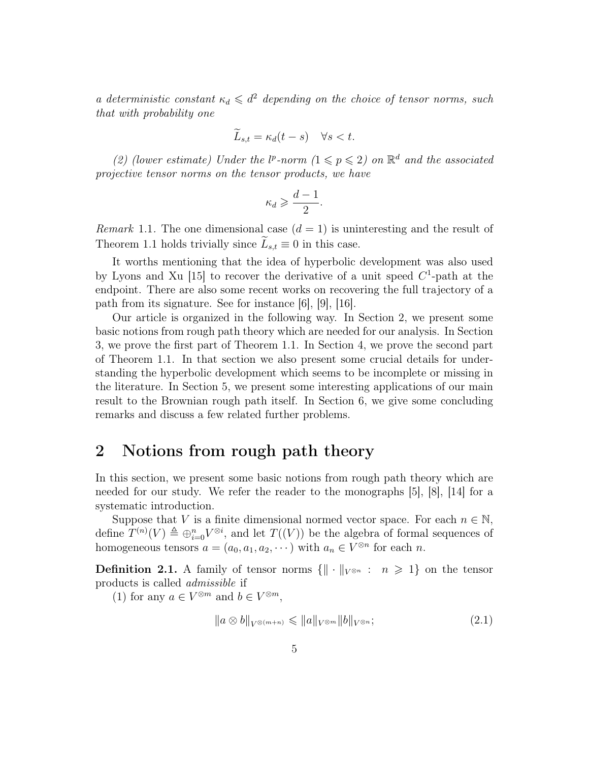a deterministic constant  $\kappa_d \leq d^2$  depending on the choice of tensor norms, such that with probability one

$$
\widetilde{L}_{s,t} = \kappa_d(t-s) \quad \forall s < t.
$$

(2) (lower estimate) Under the  $l^p$ -norm  $(1 \leq p \leq 2)$  on  $\mathbb{R}^d$  and the associated projective tensor norms on the tensor products, we have

$$
\kappa_d \geqslant \frac{d-1}{2}.
$$

*Remark* 1.1. The one dimensional case  $(d = 1)$  is uninteresting and the result of Theorem 1.1 holds trivially since  $\widetilde{L}_{s,t} \equiv 0$  in this case.

It worths mentioning that the idea of hyperbolic development was also used by Lyons and Xu [15] to recover the derivative of a unit speed  $C^1$ -path at the endpoint. There are also some recent works on recovering the full trajectory of a path from its signature. See for instance [6], [9], [16].

Our article is organized in the following way. In Section 2, we present some basic notions from rough path theory which are needed for our analysis. In Section 3, we prove the first part of Theorem 1.1. In Section 4, we prove the second part of Theorem 1.1. In that section we also present some crucial details for understanding the hyperbolic development which seems to be incomplete or missing in the literature. In Section 5, we present some interesting applications of our main result to the Brownian rough path itself. In Section 6, we give some concluding remarks and discuss a few related further problems.

### 2 Notions from rough path theory

In this section, we present some basic notions from rough path theory which are needed for our study. We refer the reader to the monographs [5], [8], [14] for a systematic introduction.

Suppose that V is a finite dimensional normed vector space. For each  $n \in \mathbb{N}$ , define  $T^{(n)}(V) \triangleq \bigoplus_{i=0}^{n} V^{\otimes i}$ , and let  $T((V))$  be the algebra of formal sequences of homogeneous tensors  $a = (a_0, a_1, a_2, \dots)$  with  $a_n \in V^{\otimes n}$  for each n.

**Definition 2.1.** A family of tensor norms  $\{\|\cdot\|_{V^{\otimes n}} : n \geq 1\}$  on the tensor products is called admissible if

(1) for any  $a \in V^{\otimes m}$  and  $b \in V^{\otimes m}$ ,

$$
||a \otimes b||_{V^{\otimes(m+n)}} \leq ||a||_{V^{\otimes m}} ||b||_{V^{\otimes n}};
$$
\n(2.1)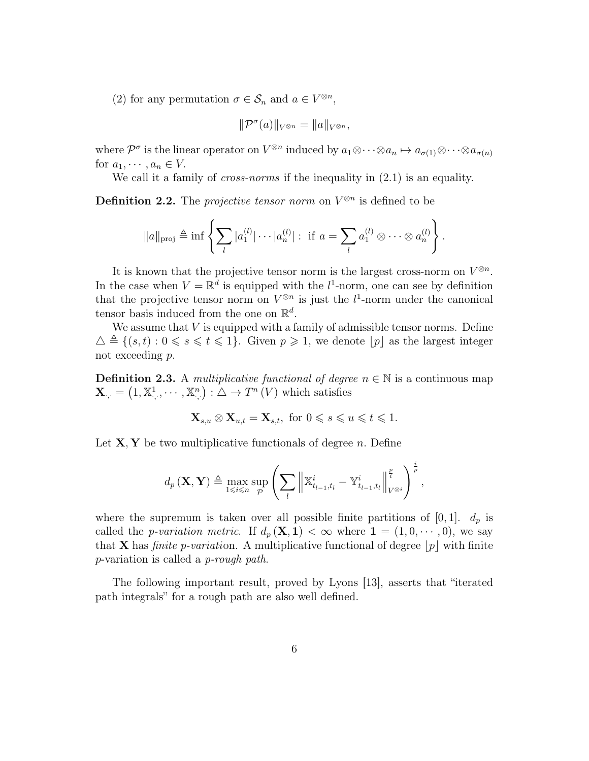(2) for any permutation  $\sigma \in \mathcal{S}_n$  and  $a \in V^{\otimes n}$ ,

$$
\|\mathcal{P}^{\sigma}(a)\|_{V^{\otimes n}}=\|a\|_{V^{\otimes n}},
$$

where  $\mathcal{P}^{\sigma}$  is the linear operator on  $V^{\otimes n}$  induced by  $a_1 \otimes \cdots \otimes a_n \mapsto a_{\sigma(1)} \otimes \cdots \otimes a_{\sigma(n)}$ for  $a_1, \dots, a_n \in V$ .

We call it a family of *cross-norms* if the inequality in  $(2.1)$  is an equality.

**Definition 2.2.** The *projective tensor norm* on  $V^{\otimes n}$  is defined to be

$$
||a||_{\text{proj}} \triangleq \inf \left\{ \sum_{l} |a_1^{(l)}| \cdots |a_n^{(l)}| : \text{ if } a = \sum_{l} a_1^{(l)} \otimes \cdots \otimes a_n^{(l)} \right\}.
$$

It is known that the projective tensor norm is the largest cross-norm on  $V^{\otimes n}$ . In the case when  $V = \mathbb{R}^d$  is equipped with the  $l^1$ -norm, one can see by definition that the projective tensor norm on  $V^{\otimes n}$  is just the  $l^1$ -norm under the canonical tensor basis induced from the one on  $\mathbb{R}^d$ .

We assume that  $V$  is equipped with a family of admissible tensor norms. Define  $\Delta \triangleq \{(s, t): 0 \leq s \leq t \leq 1\}.$  Given  $p \geq 1$ , we denote  $[p]$  as the largest integer not exceeding p.

**Definition 2.3.** A multiplicative functional of degree  $n \in \mathbb{N}$  is a continuous map  $\mathbf{X}_{\cdot,\cdot} = (1, \mathbb{X}_{\cdot,\cdot}^1, \cdots, \mathbb{X}_{\cdot,\cdot}^n) : \triangle \to T^n(V)$  which satisfies

$$
\mathbf{X}_{s,u}\otimes \mathbf{X}_{u,t}=\mathbf{X}_{s,t}, \text{ for } 0\leqslant s\leqslant u\leqslant t\leqslant 1.
$$

Let  $X, Y$  be two multiplicative functionals of degree n. Define

$$
d_p(\mathbf{X}, \mathbf{Y}) \triangleq \max_{1 \leq i \leq n} \sup_p \left( \sum_l \left\| \mathbb{X}_{t_{l-1}, t_l}^i - \mathbb{Y}_{t_{l-1}, t_l}^i \right\|_{V^{\otimes i}}^{\frac{p}{p}} \right)^{\frac{i}{p}},
$$

where the supremum is taken over all possible finite partitions of  $[0, 1]$ .  $d_p$  is called the *p-variation metric*. If  $d_p(\mathbf{X}, \mathbf{1}) < \infty$  where  $\mathbf{1} = (1, 0, \dots, 0)$ , we say that **X** has *finite p-variation*. A multiplicative functional of degree  $|p|$  with finite p-variation is called a p-rough path.

The following important result, proved by Lyons [13], asserts that "iterated path integrals" for a rough path are also well defined.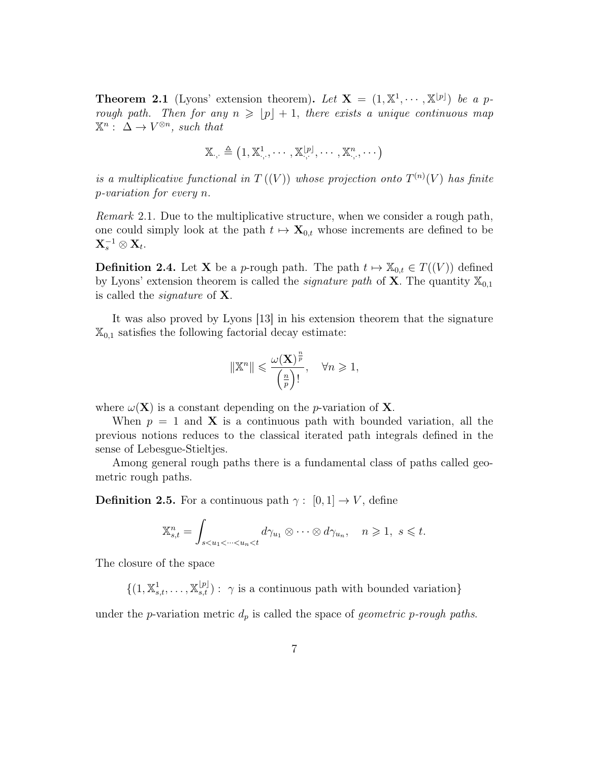**Theorem 2.1** (Lyons' extension theorem). Let  $X = (1, \mathbb{X}^1, \cdots, \mathbb{X}^{\lfloor p \rfloor})$  be a prough path. Then for any  $n \geqslant |p| + 1$ , there exists a unique continuous map  $\mathbb{X}^n : \Delta \to V^{\otimes n}$ , such that

$$
\mathbb{X}_{\cdot,\cdot} \triangleq \left(1,\mathbb{X}^1_{\cdot,\cdot},\cdots,\mathbb{X}^{[p]}_{\cdot,\cdot},\cdots,\mathbb{X}^n_{\cdot,\cdot},\cdots\right)
$$

is a multiplicative functional in  $T((V))$  whose projection onto  $T^{(n)}(V)$  has finite p-variation for every n.

Remark 2.1. Due to the multiplicative structure, when we consider a rough path, one could simply look at the path  $t \mapsto \mathbf{X}_{0,t}$  whose increments are defined to be  $\mathbf{X}^{-1}_s \otimes \mathbf{X}_t.$ 

**Definition 2.4.** Let **X** be a p-rough path. The path  $t \mapsto \mathbb{X}_{0,t} \in T((V))$  defined by Lyons' extension theorem is called the *signature path* of **X**. The quantity  $\mathbb{X}_{0,1}$ is called the signature of X.

It was also proved by Lyons [13] in his extension theorem that the signature  $\mathbb{X}_{0,1}$  satisfies the following factorial decay estimate:

$$
\|\mathbb{X}^n\| \leqslant \frac{\omega(\mathbf{X})^{\frac{n}{p}}}{\left(\frac{n}{p}\right)!}, \quad \forall n \geqslant 1,
$$

where  $\omega(\mathbf{X})$  is a constant depending on the *p*-variation of **X**.

When  $p = 1$  and **X** is a continuous path with bounded variation, all the previous notions reduces to the classical iterated path integrals defined in the sense of Lebesgue-Stieltjes.

Among general rough paths there is a fundamental class of paths called geometric rough paths.

**Definition 2.5.** For a continuous path  $\gamma : [0, 1] \rightarrow V$ , define

$$
\mathbb{X}_{s,t}^n = \int_{s < u_1 < \dots < u_n < t} d\gamma_{u_1} \otimes \dots \otimes d\gamma_{u_n}, \quad n \geqslant 1, \ s \leqslant t.
$$

The closure of the space

 $\{(1, \mathbb{X}_{s,t}^1, \ldots, \mathbb{X}_{s,t}^{[p]}): \gamma \text{ is a continuous path with bounded variation}\}\$ 

under the p-variation metric  $d_p$  is called the space of *geometric p-rough paths*.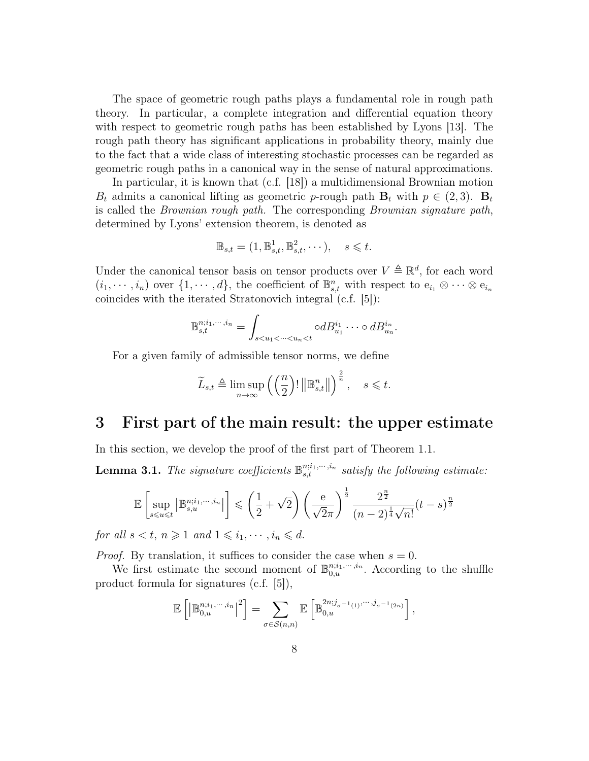The space of geometric rough paths plays a fundamental role in rough path theory. In particular, a complete integration and differential equation theory with respect to geometric rough paths has been established by Lyons [13]. The rough path theory has significant applications in probability theory, mainly due to the fact that a wide class of interesting stochastic processes can be regarded as geometric rough paths in a canonical way in the sense of natural approximations.

In particular, it is known that (c.f. [18]) a multidimensional Brownian motion  $B_t$  admits a canonical lifting as geometric p-rough path  $B_t$  with  $p \in (2,3)$ .  $B_t$ is called the Brownian rough path. The corresponding Brownian signature path, determined by Lyons' extension theorem, is denoted as

$$
\mathbb{B}_{s,t} = (1, \mathbb{B}^1_{s,t}, \mathbb{B}^2_{s,t}, \cdots), \quad s \leq t.
$$

Under the canonical tensor basis on tensor products over  $V \triangleq \mathbb{R}^d$ , for each word  $(i_1, \dots, i_n)$  over  $\{1, \dots, d\}$ , the coefficient of  $\mathbb{B}_{s,t}^n$  with respect to  $e_{i_1} \otimes \dots \otimes e_{i_n}$ coincides with the iterated Stratonovich integral (c.f. [5]):

$$
\mathbb{B}_{s,t}^{n;i_1,\dots,i_n} = \int_{s
$$

For a given family of admissible tensor norms, we define

$$
\widetilde{L}_{s,t} \triangleq \limsup_{n \to \infty} \left( \left( \frac{n}{2} \right)! \left\| \mathbb{B}_{s,t}^n \right\| \right)^{\frac{2}{n}}, \quad s \leq t.
$$

### 3 First part of the main result: the upper estimate

In this section, we develop the proof of the first part of Theorem 1.1.

**Lemma 3.1.** The signature coefficients  $\mathbb{B}_{s,t}^{n;i_1,\dots,i_n}$  satisfy the following estimate:

$$
\mathbb{E}\left[\sup_{s\leqslant u\leqslant t}\left|\mathbb{B}_{s,u}^{n;i_1,\cdots,i_n}\right|\right]\leqslant\left(\frac{1}{2}+\sqrt{2}\right)\left(\frac{\mathrm{e}}{\sqrt{2}\pi}\right)^{\frac{1}{2}}\frac{2^{\frac{n}{2}}}{(n-2)^{\frac{1}{4}}\sqrt{n!}}(t-s)^{\frac{n}{2}}
$$

for all  $s < t$ ,  $n \geq 1$  and  $1 \leq i_1, \dots, i_n \leq d$ .

*Proof.* By translation, it suffices to consider the case when  $s = 0$ .

We first estimate the second moment of  $\mathbb{B}_{0,u}^{n;i_1,\dots,i_n}$ . According to the shuffle product formula for signatures (c.f. [5]),

$$
\mathbb{E}\left[\left|\mathbb{B}_{0,u}^{n;i_1,\cdots,i_n}\right|^2\right] = \sum_{\sigma \in \mathcal{S}(n,n)} \mathbb{E}\left[\mathbb{B}_{0,u}^{2n;j_{\sigma^{-1}(1)},\cdots,j_{\sigma^{-1}(2n)}}\right],
$$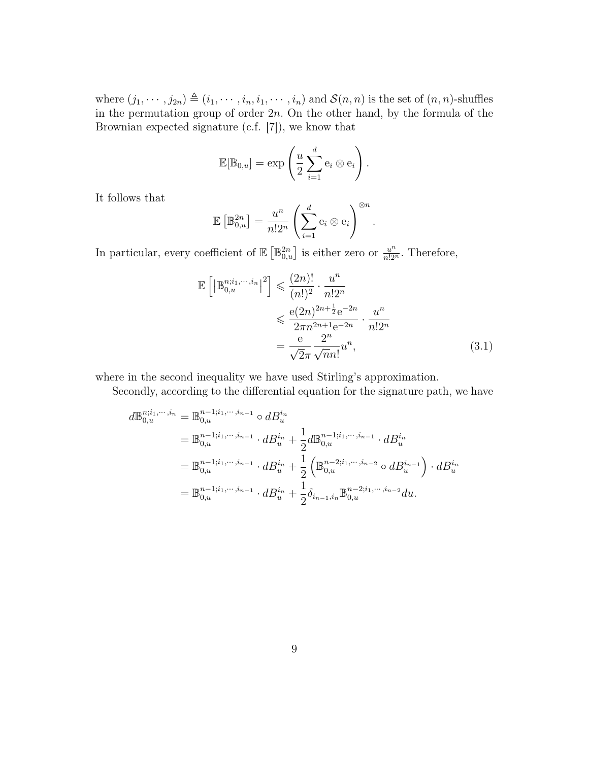where  $(j_1, \dots, j_{2n}) \triangleq (i_1, \dots, i_n, i_1, \dots, i_n)$  and  $\mathcal{S}(n, n)$  is the set of  $(n, n)$ -shuffles in the permutation group of order  $2n$ . On the other hand, by the formula of the Brownian expected signature (c.f. [7]), we know that

$$
\mathbb{E}[\mathbb{B}_{0,u}] = \exp\left(\frac{u}{2}\sum_{i=1}^d e_i \otimes e_i\right).
$$

It follows that

$$
\mathbb{E}\left[\mathbb{B}_{0,u}^{2n}\right] = \frac{u^n}{n!2^n} \left(\sum_{i=1}^d \mathbf{e}_i \otimes \mathbf{e}_i\right)^{\otimes n}.
$$

In particular, every coefficient of  $\mathbb{E}\left[\mathbb{B}_{0,u}^{2n}\right]$  is either zero or  $\frac{u^n}{n!2^n}$ . Therefore,

$$
\mathbb{E}\left[\left|\mathbb{B}_{0,u}^{n;i_1,\dots,i_n}\right|^2\right] \leq \frac{(2n)!}{(n!)^2} \cdot \frac{u^n}{n!2^n}
$$
  

$$
\leq \frac{e(2n)^{2n+\frac{1}{2}}e^{-2n}}{2\pi n^{2n+1}e^{-2n}} \cdot \frac{u^n}{n!2^n}
$$
  

$$
= \frac{e}{\sqrt{2\pi}} \frac{2^n}{\sqrt{nn!}} u^n,
$$
 (3.1)

where in the second inequality we have used Stirling's approximation.

Secondly, according to the differential equation for the signature path, we have

$$
d\mathbb{B}_{0,u}^{n;i_1,\dots,i_n} = \mathbb{B}_{0,u}^{n-1;i_1,\dots,i_{n-1}} \circ dB_u^{i_n}
$$
  
\n
$$
= \mathbb{B}_{0,u}^{n-1;i_1,\dots,i_{n-1}} \cdot dB_u^{i_n} + \frac{1}{2} d\mathbb{B}_{0,u}^{n-1;i_1,\dots,i_{n-1}} \cdot dB_u^{i_n}
$$
  
\n
$$
= \mathbb{B}_{0,u}^{n-1;i_1,\dots,i_{n-1}} \cdot dB_u^{i_n} + \frac{1}{2} \left( \mathbb{B}_{0,u}^{n-2;i_1,\dots,i_{n-2}} \circ dB_u^{i_{n-1}} \right) \cdot dB_u^{i_n}
$$
  
\n
$$
= \mathbb{B}_{0,u}^{n-1;i_1,\dots,i_{n-1}} \cdot dB_u^{i_n} + \frac{1}{2} \delta_{i_{n-1},i_n} \mathbb{B}_{0,u}^{n-2;i_1,\dots,i_{n-2}} du.
$$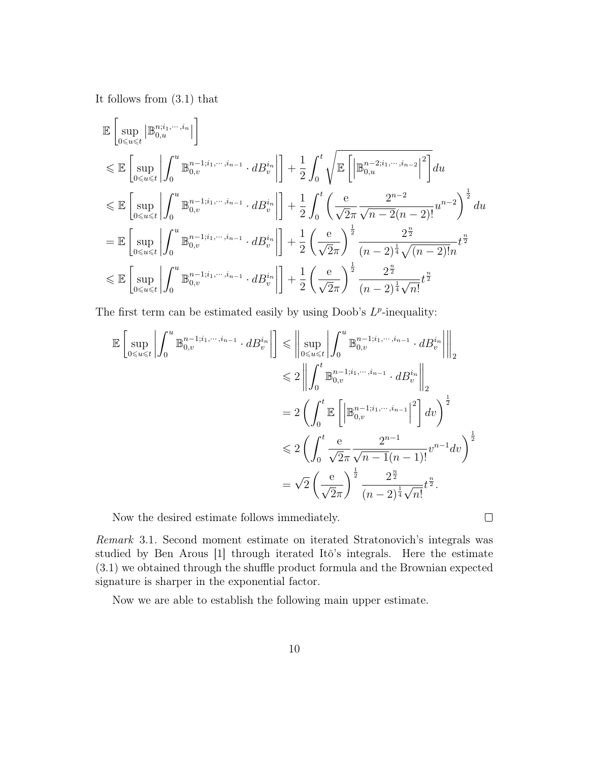It follows from (3.1) that

$$
\mathbb{E}\left[\sup_{0\leq u\leq t} \left|\mathbb{B}_{0,u}^{n;i_1,\cdots,i_n}\right|\right] \n\leq \mathbb{E}\left[\sup_{0\leq u\leq t} \left|\int_{0}^{u} \mathbb{B}_{0,v}^{n-1;i_1,\cdots,i_{n-1}} \cdot dB_{v}^{i_n}\right|\right] + \frac{1}{2} \int_{0}^{t} \sqrt{\mathbb{E}\left[\left|\mathbb{B}_{0,u}^{n-2;i_1,\cdots,i_{n-2}}\right|^{2}\right]} du \n\leq \mathbb{E}\left[\sup_{0\leq u\leq t} \left|\int_{0}^{u} \mathbb{B}_{0,v}^{n-1;i_1,\cdots,i_{n-1}} \cdot dB_{v}^{i_n}\right|\right] + \frac{1}{2} \int_{0}^{t} \left(\frac{e}{\sqrt{2\pi}} \frac{2^{n-2}}{\sqrt{n-2(n-2)!}} u^{n-2}\right)^{\frac{1}{2}} du \n= \mathbb{E}\left[\sup_{0\leq u\leq t} \left|\int_{0}^{u} \mathbb{B}_{0,v}^{n-1;i_1,\cdots,i_{n-1}} \cdot dB_{v}^{i_n}\right|\right] + \frac{1}{2} \left(\frac{e}{\sqrt{2\pi}}\right)^{\frac{1}{2}} \frac{2^{\frac{n}{2}}}{(n-2)^{\frac{1}{4}}\sqrt{(n-2)!n}} t^{\frac{n}{2}} \n\leq \mathbb{E}\left[\sup_{0\leq u\leq t} \left|\int_{0}^{u} \mathbb{B}_{0,v}^{n-1;i_1,\cdots,i_{n-1}} \cdot dB_{v}^{i_n}\right|\right] + \frac{1}{2} \left(\frac{e}{\sqrt{2\pi}}\right)^{\frac{1}{2}} \frac{2^{\frac{n}{2}}}{(n-2)^{\frac{1}{4}}\sqrt{n!}} t^{\frac{n}{2}}
$$

The first term can be estimated easily by using Doob's  $L^p$ -inequality:

$$
\mathbb{E}\left[\sup_{0\leq u\leq t}\left|\int_{0}^{u}\mathbb{B}_{0,v}^{n-1;i_{1},\cdots,i_{n-1}}\cdot dB_{v}^{i_{n}}\right|\right] \leq \left\|\sup_{0\leq u\leq t}\left|\int_{0}^{u}\mathbb{B}_{0,v}^{n-1;i_{1},\cdots,i_{n-1}}\cdot dB_{v}^{i_{n}}\right|\right\|_{2}
$$
  
\n
$$
\leq 2\left\|\int_{0}^{t}\mathbb{B}_{0,v}^{n-1;i_{1},\cdots,i_{n-1}}\cdot dB_{v}^{i_{n}}\right\|_{2}
$$
  
\n
$$
= 2\left(\int_{0}^{t}\mathbb{E}\left[\left|\mathbb{B}_{0,v}^{n-1;i_{1},\cdots,i_{n-1}}\right|^{2}\right]dv\right)^{\frac{1}{2}}
$$
  
\n
$$
\leq 2\left(\int_{0}^{t}\frac{e}{\sqrt{2\pi}}\frac{2^{n-1}}{\sqrt{n-1}(n-1)!}v^{n-1}dv\right)^{\frac{1}{2}}
$$
  
\n
$$
= \sqrt{2}\left(\frac{e}{\sqrt{2\pi}}\right)^{\frac{1}{2}}\frac{2^{\frac{n}{2}}}{(n-2)^{\frac{1}{4}}\sqrt{n!}}t^{\frac{n}{2}}.
$$

Now the desired estimate follows immediately.

 $\Box$ 

Remark 3.1. Second moment estimate on iterated Stratonovich's integrals was studied by Ben Arous [1] through iterated Itô's integrals. Here the estimate (3.1) we obtained through the shuffle product formula and the Brownian expected signature is sharper in the exponential factor.

Now we are able to establish the following main upper estimate.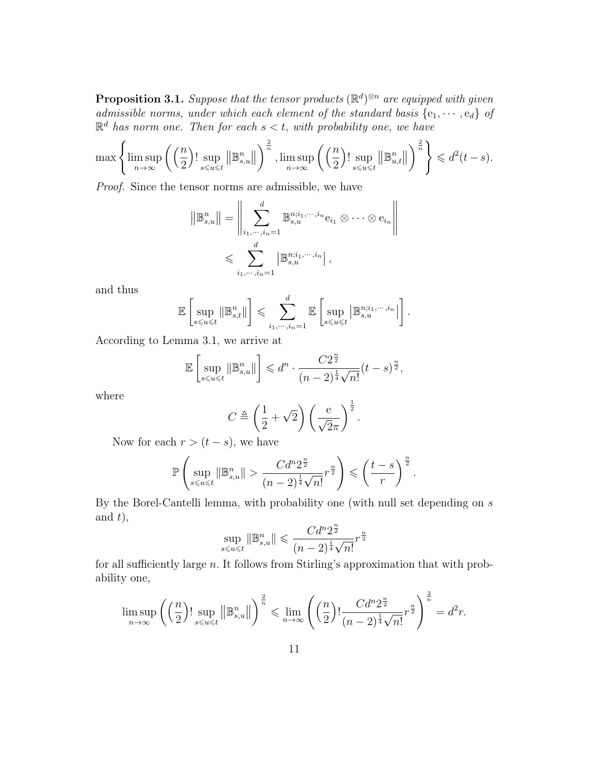**Proposition 3.1.** Suppose that the tensor products  $(\mathbb{R}^d)^{\otimes n}$  are equipped with given admissible norms, under which each element of the standard basis  $\{e_1, \dots, e_d\}$  of  $\mathbb{R}^d$  has norm one. Then for each  $s < t$ , with probability one, we have

$$
\max\left\{\limsup_{n\to\infty}\left(\left(\frac{n}{2}\right)!\sup_{s\leqslant u\leqslant t}\left\|\mathbb{B}_{s,u}^n\right\|\right)^{\frac{2}{n}},\limsup_{n\to\infty}\left(\left(\frac{n}{2}\right)!\sup_{s\leqslant u\leqslant t}\left\|\mathbb{B}_{u,t}^n\right\|\right)^{\frac{2}{n}}\right\}\leqslant d^2(t-s).
$$

Proof. Since the tensor norms are admissible, we have

$$
\|\mathbb{B}_{s,u}^{n}\| = \left\|\sum_{i_1,\dots,i_n=1}^d \mathbb{B}_{s,u}^{n;i_1,\dots,i_n} e_{i_1} \otimes \dots \otimes e_{i_n}\right\|
$$
  

$$
\leqslant \sum_{i_1,\dots,i_n=1}^d |\mathbb{B}_{s,u}^{n;i_1,\dots,i_n}|,
$$

and thus

$$
\mathbb{E}\left[\sup_{s\leqslant u\leqslant t}\|\mathbb{B}^n_{s,t}\|\right]\leqslant \sum_{i_1,\cdots,i_n=1}^d \mathbb{E}\left[\sup_{s\leqslant u\leqslant t}\left|\mathbb{B}^{n;i_1,\cdots,i_n}_{s,u}\right|\right].
$$

According to Lemma 3.1, we arrive at

$$
\mathbb{E}\left[\sup_{s\leqslant u\leqslant t}\left\lVert\mathbb{B}_{s,u}^n\right\rVert\right]\leqslant d^n\cdot\frac{C2^{\frac{n}{2}}}{(n-2)^{\frac{1}{4}}\sqrt{n!}}(t-s)^{\frac{n}{2}},
$$

where

$$
C \triangleq \left(\frac{1}{2} + \sqrt{2}\right) \left(\frac{e}{\sqrt{2}\pi}\right)^{\frac{1}{2}}.
$$

Now for each  $r > (t - s)$ , we have

$$
\mathbb{P}\left(\sup_{s\leqslant u\leqslant t}\|\mathbb{B}_{s,u}^n\|>\frac{Cd^n2^{\frac{n}{2}}}{(n-2)^{\frac{1}{4}}\sqrt{n!}}r^{\frac{n}{2}}\right)\leqslant\left(\frac{t-s}{r}\right)^{\frac{n}{2}}.
$$

By the Borel-Cantelli lemma, with probability one (with null set depending on s and  $t$ ,

$$
\sup_{s \le u \le t} \|\mathbb{B}_{s,u}^n\| \le \frac{Cd^n 2^{\frac{n}{2}}}{(n-2)^{\frac{1}{4}}\sqrt{n!}} r^{\frac{n}{2}}
$$

for all sufficiently large  $n$ . It follows from Stirling's approximation that with probability one,

$$
\limsup_{n\to\infty}\left(\left(\frac{n}{2}\right)!\sup_{s\leqslant u\leqslant t}\left\lVert\mathbb{B}_{s,u}^n\right\rVert\right)^{\frac{2}{n}}\leqslant \lim_{n\to\infty}\left(\left(\frac{n}{2}\right)!\frac{Cd^n2^{\frac{n}{2}}}{(n-2)^{\frac{1}{4}}\sqrt{n!}}r^{\frac{n}{2}}\right)^{\frac{2}{n}}=d^2r.
$$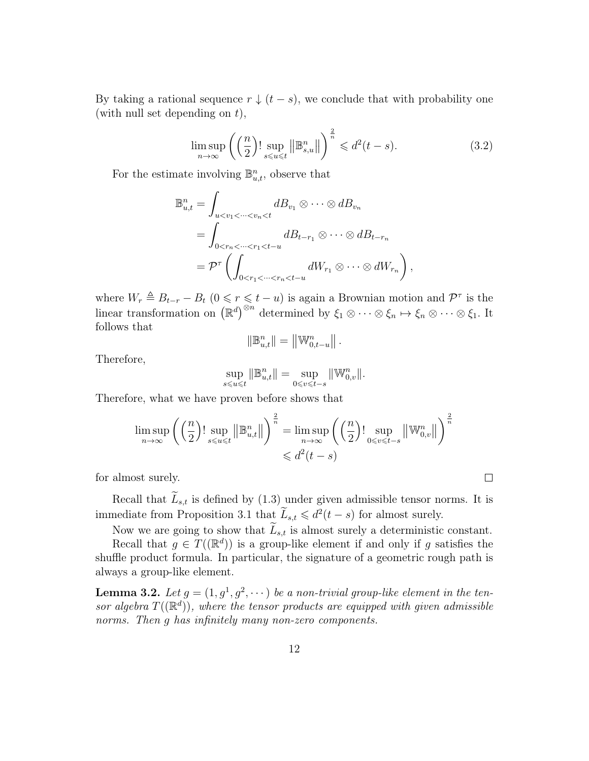By taking a rational sequence  $r \downarrow (t - s)$ , we conclude that with probability one (with null set depending on  $t$ ),

$$
\limsup_{n \to \infty} \left( \left( \frac{n}{2} \right)! \sup_{s \leqslant u \leqslant t} \left\| \mathbb{B}_{s,u}^n \right\| \right)^{\frac{2}{n}} \leqslant d^2(t-s). \tag{3.2}
$$

For the estimate involving  $\mathbb{B}_{u,t}^n$ , observe that

$$
\mathbb{B}_{u,t}^{n} = \int_{u < v_1 < \dots < v_n < t} d_{v_1} \otimes \dots \otimes d_{v_n}
$$
\n
$$
= \int_{0 < r_n < \dots < r_1 < t-u} d_{t-r_1} \otimes \dots \otimes d_{t-r_n}
$$
\n
$$
= \mathcal{P}^{\tau} \left( \int_{0 < r_1 < \dots < r_n < t-u} d_{v_1} \otimes \dots \otimes d_{v_{r_n}} \right),
$$

where  $W_r \triangleq B_{t-r} - B_t$   $(0 \le r \le t - u)$  is again a Brownian motion and  $\mathcal{P}^{\tau}$  is the linear transformation on  $(\mathbb{R}^d)^{\otimes n}$  determined by  $\xi_1 \otimes \cdots \otimes \xi_n \mapsto \xi_n \otimes \cdots \otimes \xi_1$ . It follows that

$$
\|\mathbb{B}^n_{u,t}\| = \left\|\mathbb{W}^n_{0,t-u}\right\|.
$$

Therefore,

$$
\sup_{s\leqslant u\leqslant t}\|\mathbb{B}^n_{u,t}\|=\sup_{0\leqslant v\leqslant t-s}\|\mathbb{W}^n_{0,v}\|.
$$

Therefore, what we have proven before shows that

$$
\limsup_{n \to \infty} \left( \left( \frac{n}{2} \right)! \sup_{s \le u \le t} \left\| \mathbb{B}_{u,t}^n \right\| \right)^{\frac{2}{n}} = \limsup_{n \to \infty} \left( \left( \frac{n}{2} \right)! \sup_{0 \le v \le t-s} \left\| \mathbb{W}_{0,v}^n \right\| \right)^{\frac{2}{n}}
$$
  

$$
\le d^2(t-s)
$$

for almost surely.

Recall that  $\tilde{L}_{s,t}$  is defined by (1.3) under given admissible tensor norms. It is immediate from Proposition 3.1 that  $\widetilde{L}_{s,t} \leq d^2(t-s)$  for almost surely.

Now we are going to show that  $\tilde{L}_{s,t}$  is almost surely a deterministic constant.

 $\Box$ 

Recall that  $g \in T((\mathbb{R}^d))$  is a group-like element if and only if g satisfies the shuffle product formula. In particular, the signature of a geometric rough path is always a group-like element.

**Lemma 3.2.** Let  $g = (1, g^1, g^2, \cdots)$  be a non-trivial group-like element in the tensor algebra  $T((\mathbb{R}^d))$ , where the tensor products are equipped with given admissible norms. Then q has infinitely many non-zero components.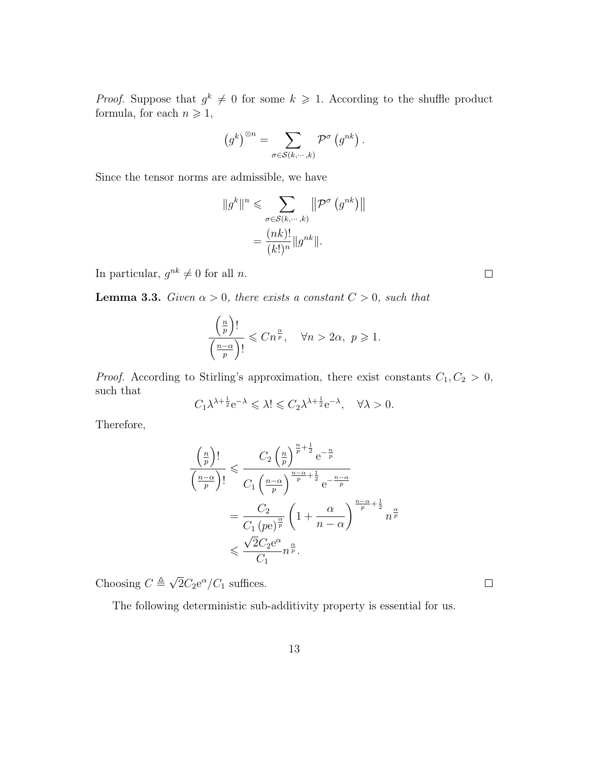*Proof.* Suppose that  $g^k \neq 0$  for some  $k \geq 1$ . According to the shuffle product formula, for each  $n\geqslant 1,$ 

$$
(g^k)^{\otimes n} = \sum_{\sigma \in \mathcal{S}(k,\cdots,k)} \mathcal{P}^{\sigma}(g^{nk}).
$$

Since the tensor norms are admissible, we have

$$
||g^k||^n \leq \sum_{\sigma \in \mathcal{S}(k,\cdots,k)} ||\mathcal{P}^{\sigma}(g^{nk})||
$$

$$
= \frac{(nk)!}{(k!)^n} ||g^{nk}||.
$$

In particular,  $g^{nk} \neq 0$  for all *n*.

**Lemma 3.3.** Given  $\alpha > 0$ , there exists a constant  $C > 0$ , such that

$$
\frac{\left(\frac{n}{p}\right)!}{\left(\frac{n-\alpha}{p}\right)!} \leqslant Cn^{\frac{\alpha}{p}}, \quad \forall n > 2\alpha, \ p \geqslant 1.
$$

*Proof.* According to Stirling's approximation, there exist constants  $C_1, C_2 > 0$ , such that

$$
C_1 \lambda^{\lambda + \frac{1}{2}} e^{-\lambda} \leq \lambda! \leq C_2 \lambda^{\lambda + \frac{1}{2}} e^{-\lambda}, \quad \forall \lambda > 0.
$$

Therefore,

$$
\frac{\left(\frac{n}{p}\right)!}{\left(\frac{n-\alpha}{p}\right)!} \leqslant \frac{C_2 \left(\frac{n}{p}\right)^{\frac{n}{p}+\frac{1}{2}} e^{-\frac{n}{p}}}{C_1 \left(\frac{n-\alpha}{p}\right)^{\frac{n-\alpha}{p}+\frac{1}{2}} e^{-\frac{n-\alpha}{p}}}
$$
\n
$$
= \frac{C_2}{C_1 \left(p e\right)^{\frac{\alpha}{p}}} \left(1 + \frac{\alpha}{n-\alpha}\right)^{\frac{n-\alpha}{p}+\frac{1}{2}} n^{\frac{\alpha}{p}}
$$
\n
$$
\leqslant \frac{\sqrt{2}C_2 e^{\alpha}}{C_1} n^{\frac{\alpha}{p}}.
$$

Choosing  $C \triangleq \sqrt{2}$  $2C_2e^{\alpha}/C_1$  suffices.

The following deterministic sub-additivity property is essential for us.

 $\Box$ 

 $\Box$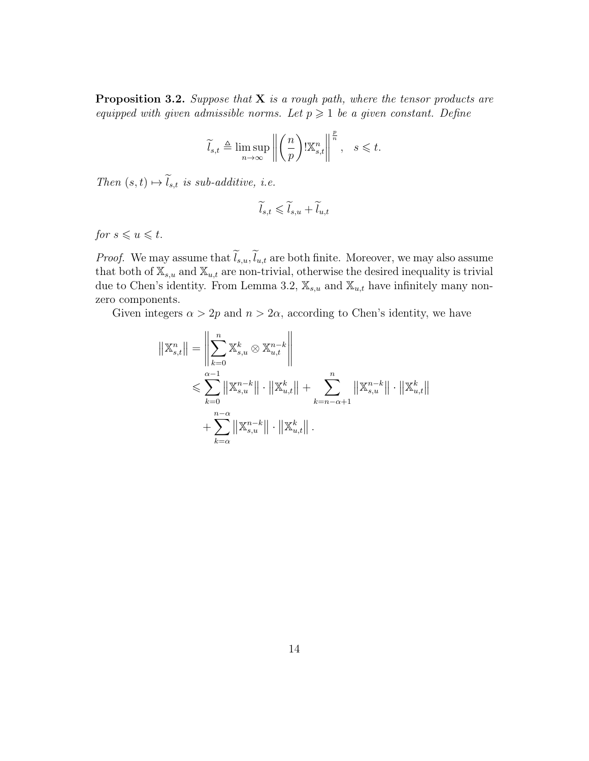**Proposition 3.2.** Suppose that  $X$  is a rough path, where the tensor products are equipped with given admissible norms. Let  $p \geq 1$  be a given constant. Define

$$
\widetilde{l}_{s,t} \triangleq \limsup_{n \to \infty} \left\| \left( \frac{n}{p} \right) \mathbb{K}^n_{s,t} \right\|^{p \over n}, \quad s \leq t.
$$

Then  $(s, t) \mapsto \widetilde{l}_{s,t}$  is sub-additive, i.e.

$$
\widetilde{l}_{s,t} \leqslant \widetilde{l}_{s,u} + \widetilde{l}_{u,t}
$$

for  $s \leqslant u \leqslant t$ .

*Proof.* We may assume that  $\tilde{l}_{s,u}, \tilde{l}_{u,t}$  are both finite. Moreover, we may also assume that both of  $\mathbb{X}_{s,u}$  and  $\mathbb{X}_{u,t}$  are non-trivial, otherwise the desired inequality is trivial due to Chen's identity. From Lemma 3.2,  $\mathbb{X}_{s,u}$  and  $\mathbb{X}_{u,t}$  have infinitely many nonzero components.

Given integers  $\alpha > 2p$  and  $n > 2\alpha$ , according to Chen's identity, we have

$$
\begin{aligned} ||\mathbb{X}_{s,t}^{n}|| &= \left\| \sum_{k=0}^{n} \mathbb{X}_{s,u}^{k} \otimes \mathbb{X}_{u,t}^{n-k} \right\| \\ &\leqslant \sum_{k=0}^{\alpha-1} \left\| \mathbb{X}_{s,u}^{n-k} \right\| \cdot \left\| \mathbb{X}_{u,t}^{k} \right\| + \sum_{k=n-\alpha+1}^{n} \left\| \mathbb{X}_{s,u}^{n-k} \right\| \cdot \left\| \mathbb{X}_{u,t}^{k} \right\| \\ &+ \sum_{k=\alpha}^{n-\alpha} \left\| \mathbb{X}_{s,u}^{n-k} \right\| \cdot \left\| \mathbb{X}_{u,t}^{k} \right\| .\end{aligned}
$$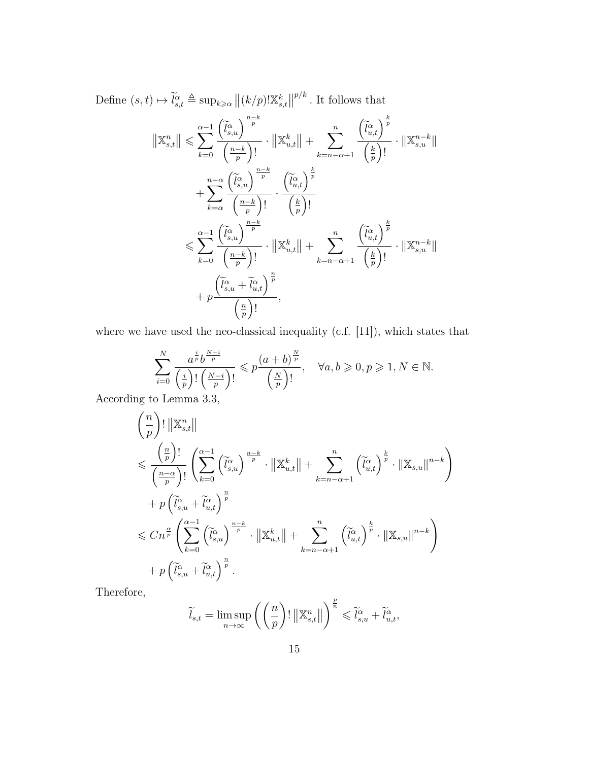Define  $(s, t) \mapsto \widetilde{l}_{s,t}^{\alpha} \triangleq \sup_{k \geq \alpha} ||(k/p)!\mathbb{X}_{s,t}^{k}||$  $p/k$ . It follows that

$$
\begin{split}\n\|\mathbb{X}_{s,t}^{n}\| &\leqslant \sum_{k=0}^{\alpha-1} \frac{\left(\widetilde{l}_{s,u}^{\alpha}\right)^{\frac{n-k}{p}}}{\left(\frac{n-k}{p}\right)!} \cdot \|\mathbb{X}_{u,t}^{k}\| + \sum_{k=n-\alpha+1}^{n} \frac{\left(\widetilde{l}_{u,t}^{\alpha}\right)^{\frac{k}{p}}}{\left(\frac{k}{p}\right)!} \cdot \|\mathbb{X}_{s,u}^{n-k}\| \\
&+ \sum_{k=\alpha}^{n-\alpha} \frac{\left(\widetilde{l}_{s,u}^{\alpha}\right)^{\frac{n-k}{p}}}{\left(\frac{n-k}{p}\right)!} \cdot \frac{\left(\widetilde{l}_{u,t}^{\alpha}\right)^{\frac{k}{p}}}{\left(\frac{k}{p}\right)!} \\
&\leqslant \sum_{k=0}^{\alpha-1} \frac{\left(\widetilde{l}_{s,u}^{\alpha}\right)^{\frac{n-k}{p}}}{\left(\frac{n-k}{p}\right)!} \cdot \|\mathbb{X}_{u,t}^{k}\| + \sum_{k=n-\alpha+1}^{n} \frac{\left(\widetilde{l}_{u,t}^{\alpha}\right)^{\frac{k}{p}}}{\left(\frac{k}{p}\right)!} \cdot \|\mathbb{X}_{s,u}^{n-k}\| \\
&+ p \frac{\left(\widetilde{l}_{s,u}^{\alpha} + \widetilde{l}_{u,t}^{\alpha}\right)^{\frac{n}{p}}}{\left(\frac{n}{p}\right)!},\n\end{split}
$$

where we have used the neo-classical inequality (c.f. [11]), which states that

$$
\sum_{i=0}^{N} \frac{a^{\frac{i}{p}} b^{\frac{N-i}{p}}}{\left(\frac{i}{p}\right)! \left(\frac{N-i}{p}\right)!} \leqslant p \frac{\left(a+b\right)^{\frac{N}{p}}}{\left(\frac{N}{p}\right)!}, \quad \forall a, b \geqslant 0, p \geqslant 1, N \in \mathbb{N}.
$$

According to Lemma 3.3,

$$
\left(\frac{n}{p}\right)!\|\mathbb{X}_{s,t}^{n}\|
$$
\n
$$
\leqslant \frac{\left(\frac{n}{p}\right)!}{\left(\frac{n-\alpha}{p}\right)!} \left(\sum_{k=0}^{\alpha-1} \left(\tilde{l}_{s,u}^{\alpha}\right)^{\frac{n-k}{p}} \cdot \|\mathbb{X}_{u,t}^{k}\| + \sum_{k=n-\alpha+1}^{n} \left(\tilde{l}_{u,t}^{\alpha}\right)^{\frac{k}{p}} \cdot \|\mathbb{X}_{s,u}\|^{n-k}\right)
$$
\n
$$
+ p\left(\tilde{l}_{s,u}^{\alpha} + \tilde{l}_{u,t}^{\alpha}\right)^{\frac{n}{p}}
$$
\n
$$
\leqslant Cn^{\frac{\alpha}{p}} \left(\sum_{k=0}^{\alpha-1} \left(\tilde{l}_{s,u}^{\alpha}\right)^{\frac{n-k}{p}} \cdot \|\mathbb{X}_{u,t}^{k}\| + \sum_{k=n-\alpha+1}^{n} \left(\tilde{l}_{u,t}^{\alpha}\right)^{\frac{k}{p}} \cdot \|\mathbb{X}_{s,u}\|^{n-k}\right)
$$
\n
$$
+ p\left(\tilde{l}_{s,u}^{\alpha} + \tilde{l}_{u,t}^{\alpha}\right)^{\frac{n}{p}}.
$$

Therefore,

$$
\widetilde{l}_{s,t} = \limsup_{n \to \infty} \left( \left( \frac{n}{p} \right)! \left\| \mathbb{X}^n_{s,t} \right\| \right)^{\frac{p}{n}} \leqslant \widetilde{l}_{s,u}^\alpha + \widetilde{l}_{u,t}^\alpha,
$$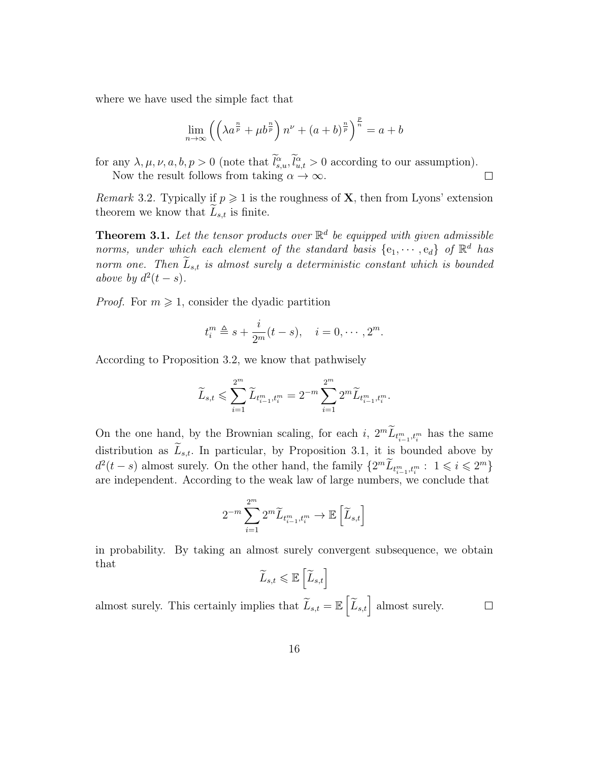where we have used the simple fact that

$$
\lim_{n \to \infty} \left( \left( \lambda a^{\frac{n}{p}} + \mu b^{\frac{n}{p}} \right) n^{\nu} + \left( a + b \right)^{\frac{n}{p}} \right)^{\frac{p}{n}} = a + b
$$

for any  $\lambda, \mu, \nu, a, b, p > 0$  (note that  $l_{s,u}^{\alpha}, l_{u,t}^{\alpha} > 0$  according to our assumption). Now the result follows from taking  $\alpha \to \infty$ .  $\Box$ 

Remark 3.2. Typically if  $p \geq 1$  is the roughness of **X**, then from Lyons' extension theorem we know that  $L_{s,t}$  is finite.

**Theorem 3.1.** Let the tensor products over  $\mathbb{R}^d$  be equipped with given admissible norms, under which each element of the standard basis  $\{e_1, \dots, e_d\}$  of  $\mathbb{R}^d$  has norm one. Then  $\widetilde{L}_{s,t}$  is almost surely a deterministic constant which is bounded above by  $d^2(t-s)$ .

*Proof.* For  $m \geq 1$ , consider the dyadic partition

$$
t_i^m \triangleq s + \frac{i}{2^m}(t - s), \quad i = 0, \cdots, 2^m.
$$

According to Proposition 3.2, we know that pathwisely

$$
\widetilde{L}_{s,t} \leqslant \sum_{i=1}^{2^m} \widetilde{L}_{t_{i-1}^m,t_i^m} = 2^{-m} \sum_{i=1}^{2^m} 2^m \widetilde{L}_{t_{i-1}^m,t_i^m}.
$$

On the one hand, by the Brownian scaling, for each i,  $2^m \tilde{L}_{t_{i-1}^m, t_i^m}$  has the same distribution as  $\widetilde{L}_{s,t}$ . In particular, by Proposition 3.1, it is bounded above by  $d^2(t-s)$  almost surely. On the other hand, the family  $\{2^m \widetilde{L}_{t_{i-1}^m, t_i^m}: 1 \leq i \leq 2^m\}$ are independent. According to the weak law of large numbers, we conclude that

$$
2^{-m} \sum_{i=1}^{2^m} 2^m \widetilde{L}_{t_{i-1}^m, t_i^m} \to \mathbb{E}\left[\widetilde{L}_{s,t}\right]
$$

in probability. By taking an almost surely convergent subsequence, we obtain that

$$
\widetilde{L}_{s,t} \leqslant \mathbb{E}\left[\widetilde{L}_{s,t}\right]
$$

almost surely. This certainly implies that  $\widetilde{L}_{s,t} = \mathbb{E}\left[\widetilde{L}_{s,t}\right]$  almost surely.  $\Box$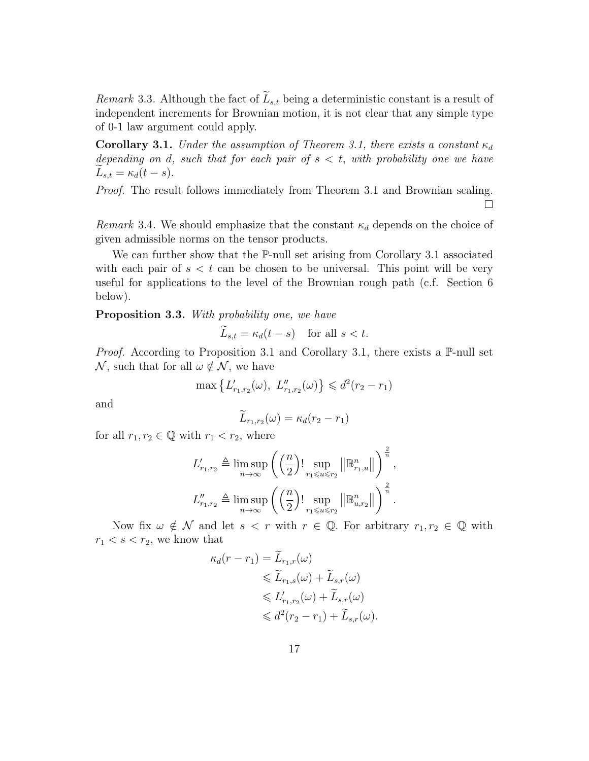Remark 3.3. Although the fact of  $\tilde{L}_{s,t}$  being a deterministic constant is a result of independent increments for Brownian motion, it is not clear that any simple type of 0-1 law argument could apply.

**Corollary 3.1.** Under the assumption of Theorem 3.1, there exists a constant  $\kappa_d$ depending on d, such that for each pair of  $s < t$ , with probability one we have  $L_{s,t} = \kappa_d(t-s).$ 

Proof. The result follows immediately from Theorem 3.1 and Brownian scaling.  $\Box$ 

Remark 3.4. We should emphasize that the constant  $\kappa_d$  depends on the choice of given admissible norms on the tensor products.

We can further show that the P-null set arising from Corollary 3.1 associated with each pair of  $s < t$  can be chosen to be universal. This point will be very useful for applications to the level of the Brownian rough path (c.f. Section 6 below).

Proposition 3.3. With probability one, we have

$$
L_{s,t} = \kappa_d(t-s) \quad \text{for all } s < t.
$$

*Proof.* According to Proposition 3.1 and Corollary 3.1, there exists a  $\mathbb{P}\text{-null}$  set  $\mathcal N$ , such that for all  $\omega \notin \mathcal N$ , we have

$$
\max \left\{ L'_{r_1, r_2}(\omega), \ L''_{r_1, r_2}(\omega) \right\} \leq d^2(r_2 - r_1)
$$

and

$$
\widetilde{L}_{r_1,r_2}(\omega) = \kappa_d(r_2 - r_1)
$$

for all  $r_1, r_2 \in \mathbb{Q}$  with  $r_1 < r_2$ , where

$$
L'_{r_1,r_2} \triangleq \limsup_{n \to \infty} \left( \left( \frac{n}{2} \right)! \sup_{r_1 \leq u \leq r_2} \left\| \mathbb{B}^n_{r_1,u} \right\| \right)^{\frac{2}{n}},
$$
  

$$
L''_{r_1,r_2} \triangleq \limsup_{n \to \infty} \left( \left( \frac{n}{2} \right)! \sup_{r_1 \leq u \leq r_2} \left\| \mathbb{B}^n_{u,r_2} \right\| \right)^{\frac{2}{n}}.
$$

Now fix  $\omega \notin \mathcal{N}$  and let  $s < r$  with  $r \in \mathbb{Q}$ . For arbitrary  $r_1, r_2 \in \mathbb{Q}$  with  $r_1 < s < r_2$ , we know that

$$
\kappa_d(r - r_1) = \widetilde{L}_{r_1,r}(\omega)
$$
  
\n
$$
\leq \widetilde{L}_{r_1,s}(\omega) + \widetilde{L}_{s,r}(\omega)
$$
  
\n
$$
\leq L'_{r_1,r_2}(\omega) + \widetilde{L}_{s,r}(\omega)
$$
  
\n
$$
\leq d^2(r_2 - r_1) + \widetilde{L}_{s,r}(\omega).
$$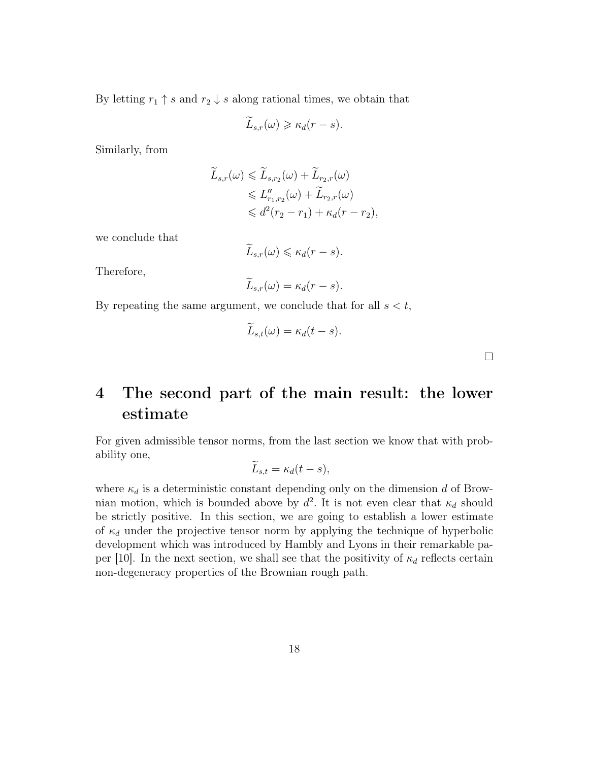By letting  $r_1 \uparrow s$  and  $r_2 \downarrow s$  along rational times, we obtain that

$$
\widetilde{L}_{s,r}(\omega) \geqslant \kappa_d(r-s).
$$

Similarly, from

$$
\widetilde{L}_{s,r}(\omega) \leq \widetilde{L}_{s,r_2}(\omega) + \widetilde{L}_{r_2,r}(\omega)
$$
\n
$$
\leq L''_{r_1,r_2}(\omega) + \widetilde{L}_{r_2,r}(\omega)
$$
\n
$$
\leq d^2(r_2 - r_1) + \kappa_d(r - r_2),
$$

we conclude that

$$
\widetilde{L}_{s,r}(\omega)\leqslant \kappa_d(r-s).
$$

Therefore,

$$
\widetilde{L}_{s,r}(\omega)=\kappa_d(r-s).
$$

By repeating the same argument, we conclude that for all  $s < t$ ,

$$
\widetilde{L}_{s,t}(\omega) = \kappa_d(t-s).
$$

 $\Box$ 

## 4 The second part of the main result: the lower estimate

For given admissible tensor norms, from the last section we know that with probability one,

$$
\widetilde{L}_{s,t} = \kappa_d(t-s),
$$

where  $\kappa_d$  is a deterministic constant depending only on the dimension d of Brownian motion, which is bounded above by  $d^2$ . It is not even clear that  $\kappa_d$  should be strictly positive. In this section, we are going to establish a lower estimate of  $\kappa_d$  under the projective tensor norm by applying the technique of hyperbolic development which was introduced by Hambly and Lyons in their remarkable paper [10]. In the next section, we shall see that the positivity of  $\kappa_d$  reflects certain non-degeneracy properties of the Brownian rough path.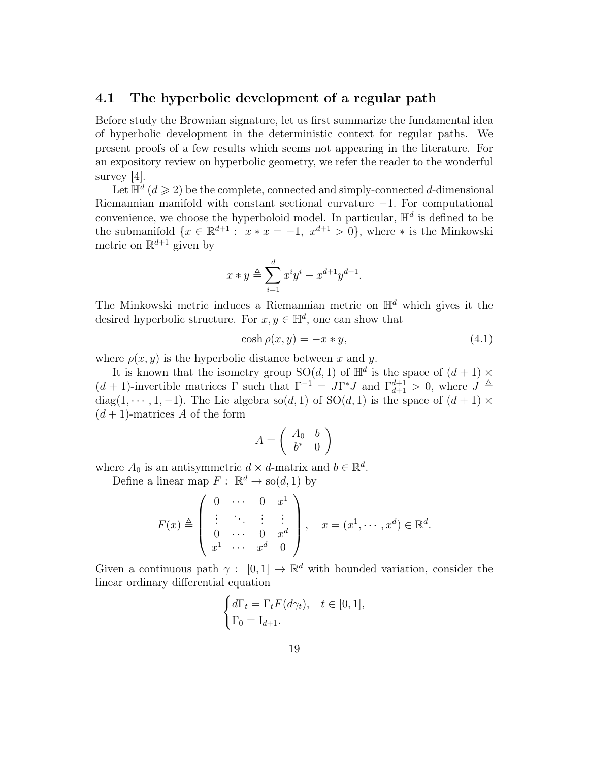#### 4.1 The hyperbolic development of a regular path

Before study the Brownian signature, let us first summarize the fundamental idea of hyperbolic development in the deterministic context for regular paths. We present proofs of a few results which seems not appearing in the literature. For an expository review on hyperbolic geometry, we refer the reader to the wonderful survey [4].

Let  $\mathbb{H}^d$   $(d \geqslant 2)$  be the complete, connected and simply-connected d-dimensional Riemannian manifold with constant sectional curvature −1. For computational convenience, we choose the hyperboloid model. In particular,  $\mathbb{H}^d$  is defined to be the submanifold  $\{x \in \mathbb{R}^{d+1} : x * x = -1, x^{d+1} > 0\}$ , where  $*$  is the Minkowski metric on  $\mathbb{R}^{d+1}$  given by

$$
x * y \triangleq \sum_{i=1}^{d} x^{i} y^{i} - x^{d+1} y^{d+1}.
$$

The Minkowski metric induces a Riemannian metric on  $\mathbb{H}^d$  which gives it the desired hyperbolic structure. For  $x, y \in \mathbb{H}^d$ , one can show that

$$
\cosh \rho(x, y) = -x * y,\tag{4.1}
$$

where  $\rho(x, y)$  is the hyperbolic distance between x and y.

It is known that the isometry group  $SO(d, 1)$  of  $\mathbb{H}^d$  is the space of  $(d+1) \times$  $(d+1)$ -invertible matrices  $\Gamma$  such that  $\Gamma^{-1} = J\Gamma^* J$  and  $\Gamma_{d+1}^{d+1} > 0$ , where  $J \triangleq$ diag(1,  $\cdots$ , 1, -1). The Lie algebra so(d, 1) of SO(d, 1) is the space of  $(d+1) \times$  $(d+1)$ -matrices A of the form

$$
A = \left(\begin{array}{cc} A_0 & b \\ b^* & 0 \end{array}\right)
$$

where  $A_0$  is an antisymmetric  $d \times d$ -matrix and  $b \in \mathbb{R}^d$ .

Define a linear map  $F: \mathbb{R}^d \to \text{so}(d, 1)$  by

$$
F(x) \triangleq \left( \begin{array}{cccc} 0 & \cdots & 0 & x^1 \\ \vdots & \ddots & \vdots & \vdots \\ 0 & \cdots & 0 & x^d \\ x^1 & \cdots & x^d & 0 \end{array} \right), \quad x = (x^1, \cdots, x^d) \in \mathbb{R}^d.
$$

Given a continuous path  $\gamma: [0,1] \to \mathbb{R}^d$  with bounded variation, consider the linear ordinary differential equation

$$
\begin{cases} d\Gamma_t = \Gamma_t F(d\gamma_t), \quad t \in [0, 1], \\ \Gamma_0 = \mathcal{I}_{d+1}. \end{cases}
$$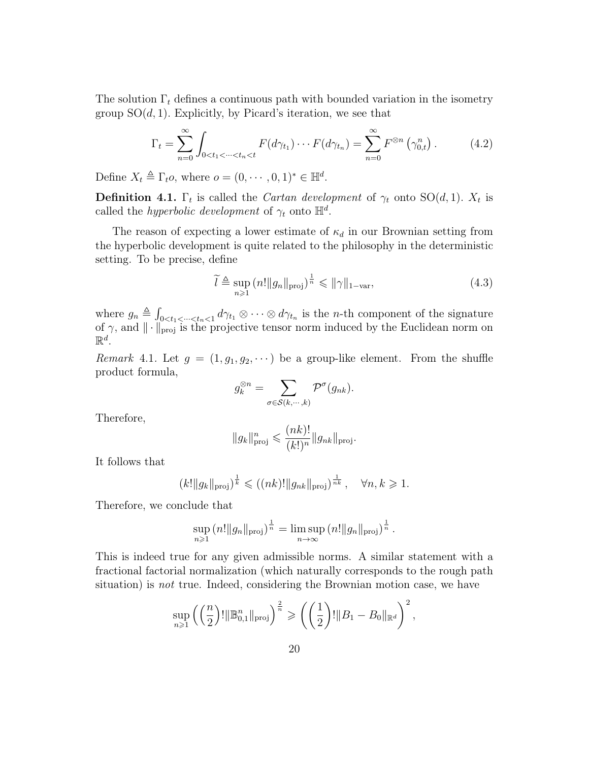The solution  $\Gamma_t$  defines a continuous path with bounded variation in the isometry group  $SO(d, 1)$ . Explicitly, by Picard's iteration, we see that

$$
\Gamma_t = \sum_{n=0}^{\infty} \int_{0 < t_1 < \dots < t_n < t} F(d\gamma_{t_1}) \dotsm F(d\gamma_{t_n}) = \sum_{n=0}^{\infty} F^{\otimes n} \left(\gamma_{0,t}^n\right). \tag{4.2}
$$

Define  $X_t \triangleq \Gamma_t o$ , where  $o = (0, \dots, 0, 1)^* \in \mathbb{H}^d$ .

**Definition 4.1.**  $\Gamma_t$  is called the *Cartan development* of  $\gamma_t$  onto  $SO(d,1)$ .  $X_t$  is called the *hyperbolic development* of  $\gamma_t$  onto  $\mathbb{H}^d$ .

The reason of expecting a lower estimate of  $\kappa_d$  in our Brownian setting from the hyperbolic development is quite related to the philosophy in the deterministic setting. To be precise, define

$$
\widetilde{l} \triangleq \sup_{n \geq 1} \left( n! \|g_n\|_{\text{proj}} \right)^{\frac{1}{n}} \leqslant \|\gamma\|_{1-\text{var}},\tag{4.3}
$$

where  $g_n \triangleq \int_{0 \le t_1 \le \dots \le t_n \le 1} d\gamma_{t_1} \otimes \dots \otimes d\gamma_{t_n}$  is the *n*-th component of the signature of  $\gamma$ , and  $\|\cdot\|_{\text{proj}}$  is the projective tensor norm induced by the Euclidean norm on  $\mathbb{R}^d$ .

Remark 4.1. Let  $g = (1, g_1, g_2, \cdots)$  be a group-like element. From the shuffle product formula,

$$
g_k^{\otimes n} = \sum_{\sigma \in \mathcal{S}(k,\cdots,k)} \mathcal{P}^{\sigma}(g_{nk}).
$$

Therefore,

$$
||g_k||_{\text{proj}}^n \leqslant \frac{(nk)!}{(k!)^n} ||g_{nk}||_{\text{proj}}.
$$

It follows that

$$
(k! \|g_k\|_{\text{proj}})^{\frac{1}{k}} \leq ( (nk)! \|g_{nk}\|_{\text{proj}})^{\frac{1}{nk}}, \quad \forall n, k \geq 1.
$$

Therefore, we conclude that

$$
\sup_{n\geq 1} (n! \|g_n\|_{\text{proj}})^{\frac{1}{n}} = \limsup_{n\to\infty} (n! \|g_n\|_{\text{proj}})^{\frac{1}{n}}.
$$

This is indeed true for any given admissible norms. A similar statement with a fractional factorial normalization (which naturally corresponds to the rough path situation) is not true. Indeed, considering the Brownian motion case, we have

$$
\sup_{n\geq 1}\left(\left(\frac{n}{2}\right)! \|\mathbb{B}_{0,1}^n\|_{\text{proj}}\right)^{\frac{2}{n}} \geqslant \left(\left(\frac{1}{2}\right)! \|B_1 - B_0\|_{\mathbb{R}^d}\right)^2,
$$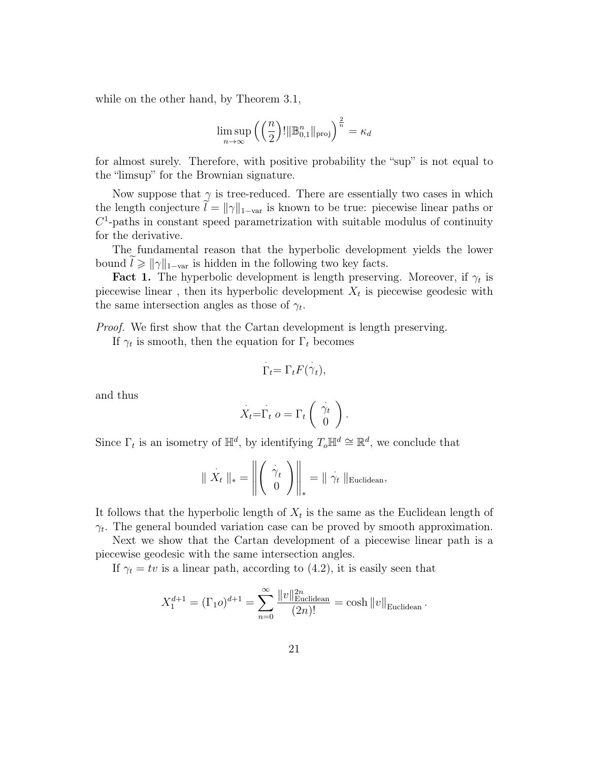while on the other hand, by Theorem 3.1,

$$
\limsup_{n\to\infty}\left(\left(\frac{n}{2}\right)! \|\mathbb{B}_{0,1}^n\|_{\text{proj}}\right)^{\frac{2}{n}} = \kappa_d
$$

for almost surely. Therefore, with positive probability the "sup" is not equal to the "limsup" for the Brownian signature.

Now suppose that  $\gamma$  is tree-reduced. There are essentially two cases in which the length conjecture  $l = ||\gamma||_{1-\text{var}}$  is known to be true: piecewise linear paths or  $C<sup>1</sup>$ -paths in constant speed parametrization with suitable modulus of continuity for the derivative.

The fundamental reason that the hyperbolic development yields the lower bound  $l \geq \|\gamma\|_{1-\text{var}}$  is hidden in the following two key facts.

**Fact 1.** The hyperbolic development is length preserving. Moreover, if  $\gamma_t$  is piecewise linear, then its hyperbolic development  $X_t$  is piecewise geodesic with the same intersection angles as those of  $\gamma_t$ .

Proof. We first show that the Cartan development is length preserving.

If  $\gamma_t$  is smooth, then the equation for  $\Gamma_t$  becomes

$$
\dot{\Gamma}_t = \Gamma_t F(\dot{\gamma}_t),
$$

and thus

$$
X_t = \Gamma_t \ o = \Gamma_t \left( \begin{array}{c} \gamma_t \\ 0 \end{array} \right).
$$

Since  $\Gamma_t$  is an isometry of  $\mathbb{H}^d$ , by identifying  $T_o\mathbb{H}^d \cong \mathbb{R}^d$ , we conclude that

$$
\parallel X_t \parallel_* = \left\Vert \begin{pmatrix} \dot{\gamma}_t \\ 0 \end{pmatrix} \right\Vert_* = \parallel \dot{\gamma}_t \parallel_{\text{Euclidean}},
$$

It follows that the hyperbolic length of  $X_t$  is the same as the Euclidean length of  $\gamma_t$ . The general bounded variation case can be proved by smooth approximation.

Next we show that the Cartan development of a piecewise linear path is a piecewise geodesic with the same intersection angles.

If  $\gamma_t = tv$  is a linear path, according to (4.2), it is easily seen that

$$
X_1^{d+1} = (\Gamma_1 o)^{d+1} = \sum_{n=0}^{\infty} \frac{\|v\|_{\text{Euclidean}}^{2n}}{(2n)!} = \cosh \|v\|_{\text{Euclidean}}.
$$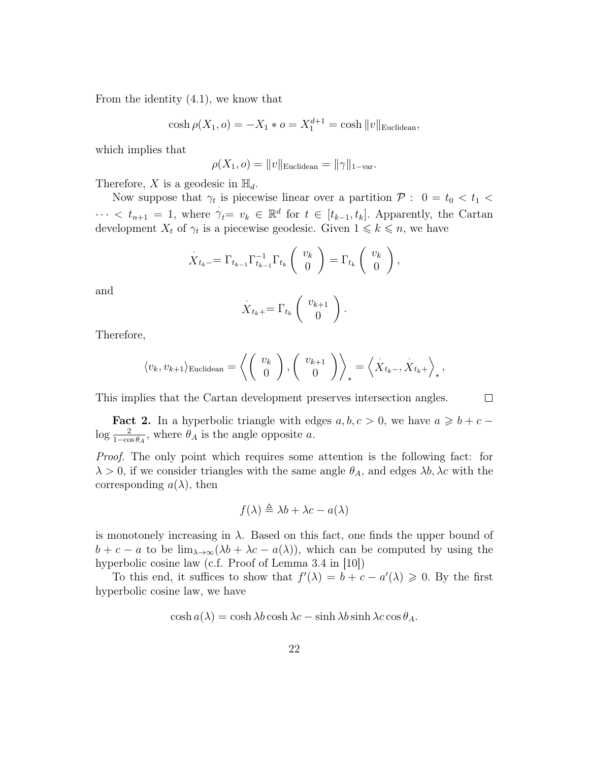From the identity (4.1), we know that

$$
\cosh \rho(X_1, o) = -X_1 * o = X_1^{d+1} = \cosh \|v\|_{\text{Euclidean}},
$$

which implies that

$$
\rho(X_1, o) = ||v||_{\text{Euclidean}} = ||\gamma||_{1-\text{var}}.
$$

Therefore, X is a geodesic in  $\mathbb{H}_d$ .

Now suppose that  $\gamma_t$  is piecewise linear over a partition  $P: 0 = t_0 < t_1 <$  $\cdots < t_{n+1} = 1$ , where  $\gamma_t = v_k \in \mathbb{R}^d$  for  $t \in [t_{k-1}, t_k]$ . Apparently, the Cartan development  $X_t$  of  $\gamma_t$  is a piecewise geodesic. Given  $1 \leq k \leq n$ , we have

$$
\dot{X}_{t_k-} = \Gamma_{t_{k-1}} \Gamma_{t_{k-1}}^{-1} \Gamma_{t_k} \begin{pmatrix} v_k \\ 0 \end{pmatrix} = \Gamma_{t_k} \begin{pmatrix} v_k \\ 0 \end{pmatrix},
$$

and

$$
\dot{X}_{t_k+} = \Gamma_{t_k} \left( \begin{array}{c} v_{k+1} \\ 0 \end{array} \right).
$$

Therefore,

$$
\langle v_k, v_{k+1} \rangle_{\text{Euclidean}} = \left\langle \begin{pmatrix} v_k \\ 0 \end{pmatrix}, \begin{pmatrix} v_{k+1} \\ 0 \end{pmatrix} \right\rangle_* = \left\langle X_{t_k-}, X_{t_k+} \right\rangle_*,
$$

This implies that the Cartan development preserves intersection angles.

 $\Box$ 

**Fact 2.** In a hyperbolic triangle with edges  $a, b, c > 0$ , we have  $a \geq b + c \log \frac{2}{1-\cos\theta_A}$ , where  $\theta_A$  is the angle opposite a.

Proof. The only point which requires some attention is the following fact: for  $\lambda > 0$ , if we consider triangles with the same angle  $\theta_A$ , and edges  $\lambda b, \lambda c$  with the corresponding  $a(\lambda)$ , then

$$
f(\lambda) \triangleq \lambda b + \lambda c - a(\lambda)
$$

is monotonely increasing in  $\lambda$ . Based on this fact, one finds the upper bound of  $b + c - a$  to be  $\lim_{\lambda \to \infty} (\lambda b + \lambda c - a(\lambda))$ , which can be computed by using the hyperbolic cosine law (c.f. Proof of Lemma 3.4 in [10])

To this end, it suffices to show that  $f'(\lambda) = b + c - a'(\lambda) \geqslant 0$ . By the first hyperbolic cosine law, we have

$$
\cosh a(\lambda) = \cosh \lambda b \cosh \lambda c - \sinh \lambda b \sinh \lambda c \cos \theta_A.
$$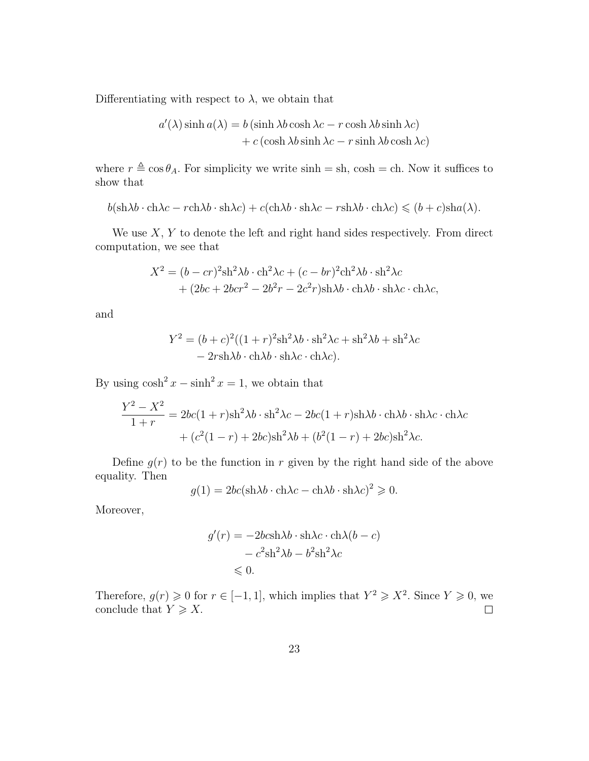Differentiating with respect to  $\lambda$ , we obtain that

$$
a'(\lambda)\sinh a(\lambda) = b(\sinh \lambda b \cosh \lambda c - r \cosh \lambda b \sinh \lambda c) + c(\cosh \lambda b \sinh \lambda c - r \sinh \lambda b \cosh \lambda c)
$$

where  $r \triangleq \cos \theta_A$ . For simplicity we write sinh = sh, cosh = ch. Now it suffices to show that

$$
b(\sh \lambda b \cdot \ch \lambda c - r \ch \lambda b \cdot \sh \lambda c) + c(\ch \lambda b \cdot \sh \lambda c - r \sh \lambda b \cdot \ch \lambda c) \leq (b + c)\sh a(\lambda).
$$

We use  $X, Y$  to denote the left and right hand sides respectively. From direct computation, we see that

$$
X^{2} = (b - cr)^{2} \sin^{2} \lambda b \cdot \text{ch}^{2} \lambda c + (c - br)^{2} \text{ch}^{2} \lambda b \cdot \text{sh}^{2} \lambda c + (2bc + 2bcr^{2} - 2b^{2}r - 2c^{2}r) \text{sh} \lambda b \cdot \text{ch} \lambda b \cdot \text{sh} \lambda c \cdot \text{ch} \lambda c,
$$

and

$$
Y^{2} = (b+c)^{2}((1+r)^{2}sh^{2}\lambda b \cdot sh^{2}\lambda c + sh^{2}\lambda b + sh^{2}\lambda c - 2rsh\lambda b \cdot ch\lambda b \cdot sh\lambda c \cdot ch\lambda c).
$$

By using  $\cosh^2 x - \sinh^2 x = 1$ , we obtain that

$$
\frac{Y^2 - X^2}{1+r} = 2bc(1+r)\sin^2\lambda b \cdot \sin^2\lambda c - 2bc(1+r)\sin\lambda b \cdot \cosh\lambda c \cdot \cosh\lambda c
$$

$$
+ (c^2(1-r) + 2bc)\sin^2\lambda b + (b^2(1-r) + 2bc)\sin^2\lambda c.
$$

Define  $g(r)$  to be the function in r given by the right hand side of the above equality. Then

$$
g(1) = 2bc(\sin \lambda b \cdot \cosh \lambda c - \cosh \lambda b \cdot \sin \lambda c)^{2} \geqslant 0.
$$

Moreover,

$$
g'(r) = -2bcsh\lambda b \cdot sh\lambda c \cdot ch\lambda (b - c) - c2sh2\lambda b - b2sh2\lambda c \leq 0.
$$

Therefore,  $g(r) \geq 0$  for  $r \in [-1, 1]$ , which implies that  $Y^2 \geq X^2$ . Since  $Y \geq 0$ , we conclude that  $Y \geqslant X$ .  $\Box$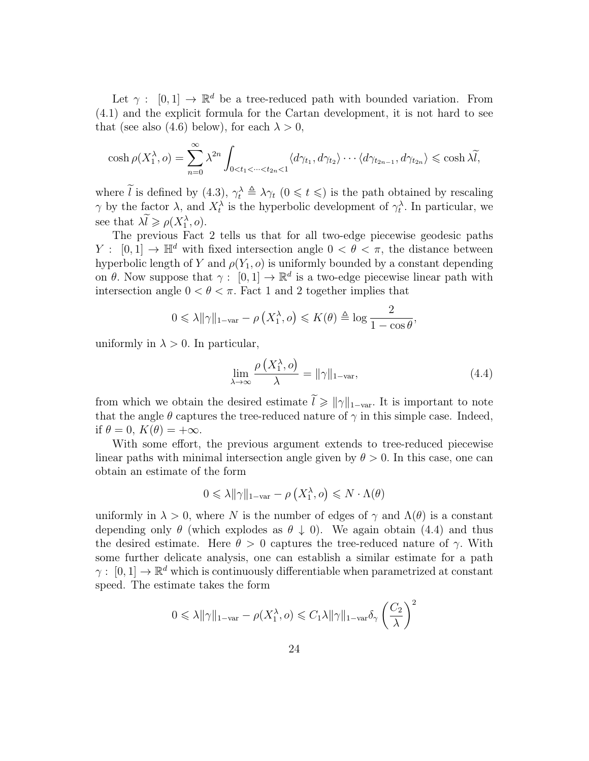Let  $\gamma : [0,1] \to \mathbb{R}^d$  be a tree-reduced path with bounded variation. From (4.1) and the explicit formula for the Cartan development, it is not hard to see that (see also (4.6) below), for each  $\lambda > 0$ ,

$$
\cosh \rho(X_1^{\lambda}, o) = \sum_{n=0}^{\infty} \lambda^{2n} \int_{0 < t_1 < \dots < t_{2n} < 1} \langle d\gamma_{t_1}, d\gamma_{t_2} \rangle \dots \langle d\gamma_{t_{2n-1}}, d\gamma_{t_{2n}} \rangle \le \cosh \lambda \widetilde{l},
$$

where  $\tilde{l}$  is defined by (4.3),  $\gamma_t^{\lambda} \triangleq \lambda \gamma_t$  ( $0 \leq t \leq$ ) is the path obtained by rescaling  $\gamma$  by the factor  $\lambda$ , and  $X_t^{\lambda}$  is the hyperbolic development of  $\gamma_t^{\lambda}$ . In particular, we see that  $\lambda \widetilde{l} \geqslant \rho(X_1^{\lambda}, o)$ .

The previous Fact 2 tells us that for all two-edge piecewise geodesic paths  $Y: [0, 1] \to \mathbb{H}^d$  with fixed intersection angle  $0 < \theta < \pi$ , the distance between hyperbolic length of Y and  $\rho(Y_1, o)$  is uniformly bounded by a constant depending on  $\theta$ . Now suppose that  $\gamma: [0,1] \to \mathbb{R}^d$  is a two-edge piecewise linear path with intersection angle  $0 < \theta < \pi$ . Fact 1 and 2 together implies that

$$
0 \le \lambda \|\gamma\|_{1-\text{var}} - \rho\left(X_1^{\lambda}, o\right) \le K(\theta) \triangleq \log \frac{2}{1 - \cos \theta}
$$

uniformly in  $\lambda > 0$ . In particular,

$$
\lim_{\lambda \to \infty} \frac{\rho\left(X_1^{\lambda}, o\right)}{\lambda} = \|\gamma\|_{1-\text{var}},\tag{4.4}
$$

,

from which we obtain the desired estimate  $\tilde{l} \geq ||\gamma||_{1-\text{var}}$ . It is important to note that the angle  $\theta$  captures the tree-reduced nature of  $\gamma$  in this simple case. Indeed, if  $\theta = 0$ ,  $K(\theta) = +\infty$ .

With some effort, the previous argument extends to tree-reduced piecewise linear paths with minimal intersection angle given by  $\theta > 0$ . In this case, one can obtain an estimate of the form

$$
0 \leq \lambda \|\gamma\|_{1-\text{var}} - \rho\left(X_1^{\lambda}, o\right) \leq N \cdot \Lambda(\theta)
$$

uniformly in  $\lambda > 0$ , where N is the number of edges of  $\gamma$  and  $\Lambda(\theta)$  is a constant depending only  $\theta$  (which explodes as  $\theta \downarrow 0$ ). We again obtain (4.4) and thus the desired estimate. Here  $\theta > 0$  captures the tree-reduced nature of  $\gamma$ . With some further delicate analysis, one can establish a similar estimate for a path  $\gamma: [0,1] \to \mathbb{R}^d$  which is continuously differentiable when parametrized at constant speed. The estimate takes the form

$$
0 \leq \lambda \|\gamma\|_{1-\text{var}} - \rho(X_1^{\lambda}, o) \leq C_1 \lambda \|\gamma\|_{1-\text{var}} \delta_{\gamma} \left(\frac{C_2}{\lambda}\right)^2
$$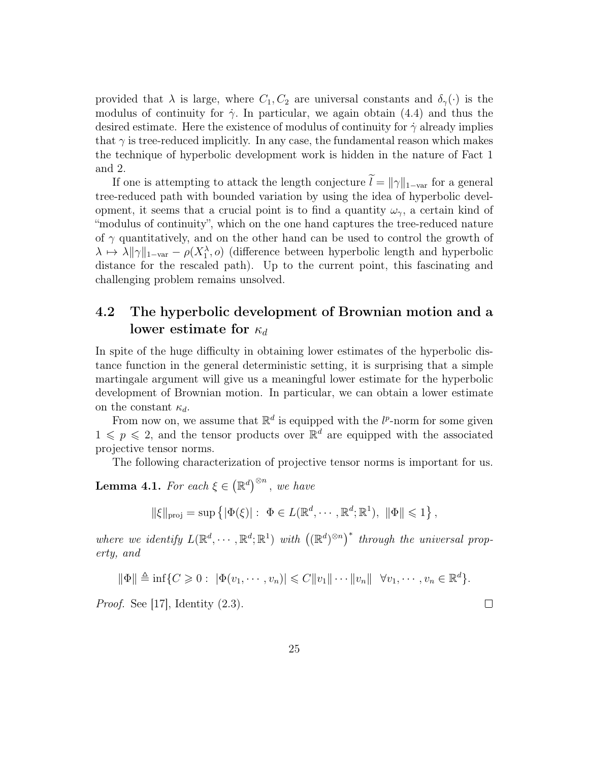provided that  $\lambda$  is large, where  $C_1, C_2$  are universal constants and  $\delta_{\gamma}(\cdot)$  is the modulus of continuity for  $\dot{\gamma}$ . In particular, we again obtain (4.4) and thus the desired estimate. Here the existence of modulus of continuity for  $\dot{\gamma}$  already implies that  $\gamma$  is tree-reduced implicitly. In any case, the fundamental reason which makes the technique of hyperbolic development work is hidden in the nature of Fact 1 and 2.

If one is attempting to attack the length conjecture  $\tilde{l} = ||\gamma||_{1-\text{var}}$  for a general tree-reduced path with bounded variation by using the idea of hyperbolic development, it seems that a crucial point is to find a quantity  $\omega_{\gamma}$ , a certain kind of "modulus of continuity", which on the one hand captures the tree-reduced nature of  $\gamma$  quantitatively, and on the other hand can be used to control the growth of  $\lambda \mapsto \lambda \|\gamma\|_{1-\text{var}} - \rho(X_1^{\lambda}, o)$  (difference between hyperbolic length and hyperbolic distance for the rescaled path). Up to the current point, this fascinating and challenging problem remains unsolved.

### 4.2 The hyperbolic development of Brownian motion and a lower estimate for  $\kappa_d$

In spite of the huge difficulty in obtaining lower estimates of the hyperbolic distance function in the general deterministic setting, it is surprising that a simple martingale argument will give us a meaningful lower estimate for the hyperbolic development of Brownian motion. In particular, we can obtain a lower estimate on the constant  $\kappa_d$ .

From now on, we assume that  $\mathbb{R}^d$  is equipped with the  $l^p$ -norm for some given  $1 \leqslant p \leqslant 2$ , and the tensor products over  $\mathbb{R}^d$  are equipped with the associated projective tensor norms.

The following characterization of projective tensor norms is important for us.

**Lemma 4.1.** For each  $\xi \in (\mathbb{R}^d)^{\otimes n}$ , we have

 $\|\xi\|_{\text{proj}} = \sup \{|\Phi(\xi)| : \Phi \in L(\mathbb{R}^d, \cdots, \mathbb{R}^d; \mathbb{R}^1), \|\Phi\| \leq 1\},\$ 

where we identify  $L(\mathbb{R}^d, \dots, \mathbb{R}^d; \mathbb{R}^1)$  with  $((\mathbb{R}^d)^{\otimes n})^*$  through the universal property, and

$$
\|\Phi\| \triangleq \inf \{C \geq 0 : |\Phi(v_1, \dots, v_n)| \leq C \|v_1\| \dots \|v_n\| \quad \forall v_1, \dots, v_n \in \mathbb{R}^d \}.
$$

*Proof.* See [17], Identity  $(2.3)$ .

 $\Box$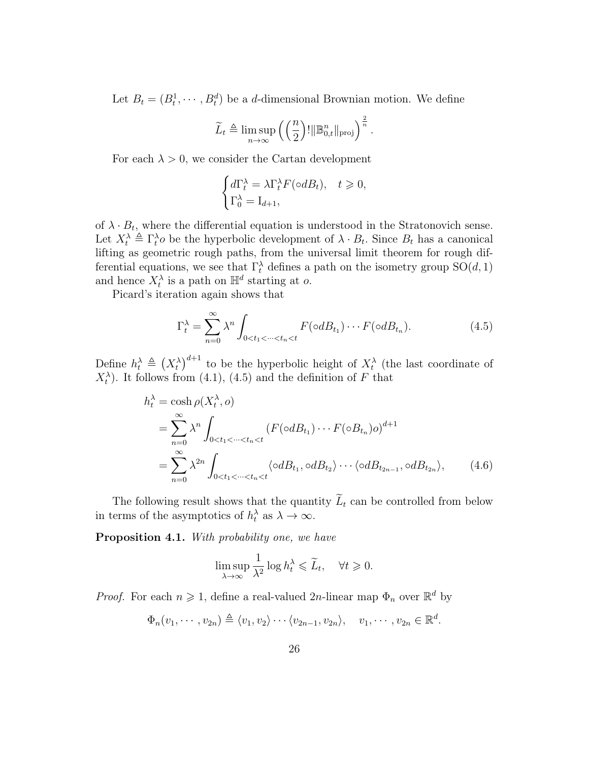Let  $B_t = (B_t^1, \dots, B_t^d)$  be a *d*-dimensional Brownian motion. We define

$$
\widetilde{L}_t \triangleq \limsup_{n \to \infty} \left( \left( \frac{n}{2} \right)! \|\mathbb{B}_{0,t}^n\|_{\text{proj}} \right)^{\frac{2}{n}}.
$$

For each  $\lambda > 0$ , we consider the Cartan development

$$
\begin{cases} d\Gamma_t^{\lambda} = \lambda \Gamma_t^{\lambda} F(\circ dB_t), & t \geq 0, \\ \Gamma_0^{\lambda} = \mathcal{I}_{d+1}, \end{cases}
$$

of  $\lambda \cdot B_t$ , where the differential equation is understood in the Stratonovich sense. Let  $X_t^{\lambda} \triangleq \Gamma_t^{\lambda}$  be the hyperbolic development of  $\lambda \cdot B_t$ . Since  $B_t$  has a canonical lifting as geometric rough paths, from the universal limit theorem for rough differential equations, we see that  $\Gamma_t^{\lambda}$  defines a path on the isometry group  $SO(d, 1)$ and hence  $X_t^{\lambda}$  is a path on  $\mathbb{H}^d$  starting at o.

Picard's iteration again shows that

$$
\Gamma_t^{\lambda} = \sum_{n=0}^{\infty} \lambda^n \int_{0 < t_1 < \dots < t_n < t} F(\circ dB_{t_1}) \dotsm F(\circ dB_{t_n}).\tag{4.5}
$$

Define  $h_t^{\lambda} \triangleq (X_t^{\lambda})^{d+1}$  to be the hyperbolic height of  $X_t^{\lambda}$  (the last coordinate of  $X_t^{\lambda}$ . It follows from (4.1), (4.5) and the definition of F that

$$
h_t^{\lambda} = \cosh \rho(X_t^{\lambda}, o)
$$
  
= 
$$
\sum_{n=0}^{\infty} \lambda^n \int_{0 < t_1 < \dots < t_n < t} (F(\circ dB_{t_1}) \cdots F(\circ B_{t_n}) o)^{d+1}
$$
  
= 
$$
\sum_{n=0}^{\infty} \lambda^{2n} \int_{0 < t_1 < \dots < t_n < t} \langle \circ dB_{t_1}, \circ dB_{t_2} \rangle \cdots \langle \circ dB_{t_{2n-1}}, \circ dB_{t_{2n}} \rangle, \qquad (4.6)
$$

The following result shows that the quantity  $\widetilde{L}_t$  can be controlled from below in terms of the asymptotics of  $h_t^{\lambda}$  as  $\lambda \to \infty$ .

Proposition 4.1. With probability one, we have

$$
\limsup_{\lambda \to \infty} \frac{1}{\lambda^2} \log h_t^{\lambda} \leq \widetilde{L}_t, \quad \forall t \geq 0.
$$

*Proof.* For each  $n \geq 1$ , define a real-valued 2n-linear map  $\Phi_n$  over  $\mathbb{R}^d$  by

$$
\Phi_n(v_1,\dots,v_{2n})\triangleq \langle v_1,v_2\rangle \cdots \langle v_{2n-1},v_{2n}\rangle, \quad v_1,\dots,v_{2n}\in \mathbb{R}^d.
$$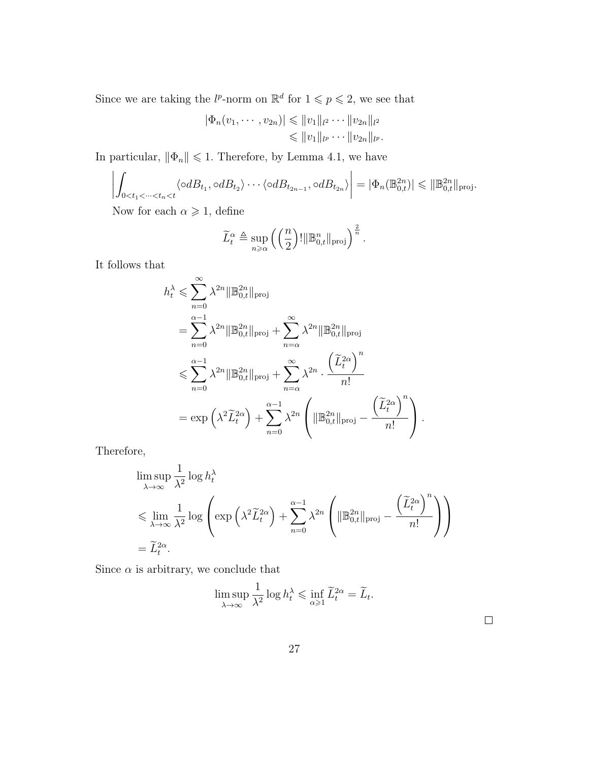Since we are taking the  $l^p$ -norm on  $\mathbb{R}^d$  for  $1 \leqslant p \leqslant 2$ , we see that

$$
|\Phi_n(v_1, \dots, v_{2n})| \leq ||v_1||_{l^2} \dots ||v_{2n}||_{l^2}
$$
  

$$
\leq ||v_1||_{l^p} \dots ||v_{2n}||_{l^p}.
$$

In particular,  $\|\Phi_n\|\leqslant 1.$  Therefore, by Lemma 4.1, we have

$$
\left| \int_{0 < t_1 < \dots < t_n < t} \langle \circ dB_{t_1}, \circ dB_{t_2} \rangle \cdots \langle \circ dB_{t_{2n-1}}, \circ dB_{t_{2n}} \rangle \right| = |\Phi_n(\mathbb{B}_{0,t}^{2n})| \leq \|\mathbb{B}_{0,t}^{2n}\|_{\text{proj}}.
$$

Now for each  $\alpha \geq 1$ , define

$$
\widetilde{L}_t^{\alpha} \triangleq \sup_{n \geq \alpha} \left( \left( \frac{n}{2} \right)! \|\mathbb{B}_{0,t}^n\|_{\text{proj}} \right)^{\frac{2}{n}}.
$$

It follows that

$$
h_t^{\lambda} \leqslant \sum_{n=0}^{\infty} \lambda^{2n} \|\mathbb{B}_{0,t}^{2n}\|_{\text{proj}}
$$
  
= 
$$
\sum_{n=0}^{\alpha-1} \lambda^{2n} \|\mathbb{B}_{0,t}^{2n}\|_{\text{proj}} + \sum_{n=\alpha}^{\infty} \lambda^{2n} \|\mathbb{B}_{0,t}^{2n}\|_{\text{proj}}
$$
  

$$
\leqslant \sum_{n=0}^{\alpha-1} \lambda^{2n} \|\mathbb{B}_{0,t}^{2n}\|_{\text{proj}} + \sum_{n=\alpha}^{\infty} \lambda^{2n} \cdot \frac{(\tilde{L}_t^{2\alpha})^n}{n!}
$$
  
= 
$$
\exp\left(\lambda^2 \tilde{L}_t^{2\alpha}\right) + \sum_{n=0}^{\alpha-1} \lambda^{2n} \left(\|\mathbb{B}_{0,t}^{2n}\|_{\text{proj}} - \frac{(\tilde{L}_t^{2\alpha})^n}{n!}\right).
$$

Therefore,

$$
\limsup_{\lambda \to \infty} \frac{1}{\lambda^2} \log h_t^{\lambda}
$$
\n
$$
\leq \lim_{\lambda \to \infty} \frac{1}{\lambda^2} \log \left( \exp \left( \lambda^2 \widetilde{L}_t^{2\alpha} \right) + \sum_{n=0}^{\alpha-1} \lambda^{2n} \left( \| \mathbb{B}_{0,t}^{2n} \|_{\text{proj}} - \frac{\left( \widetilde{L}_t^{2\alpha} \right)^n}{n!} \right) \right)
$$
\n
$$
= \widetilde{L}_t^{2\alpha}.
$$

Since  $\alpha$  is arbitrary, we conclude that

$$
\limsup_{\lambda \to \infty} \frac{1}{\lambda^2} \log h_t^{\lambda} \le \inf_{\alpha \ge 1} \widetilde{L}_t^{2\alpha} = \widetilde{L}_t.
$$

 $\Box$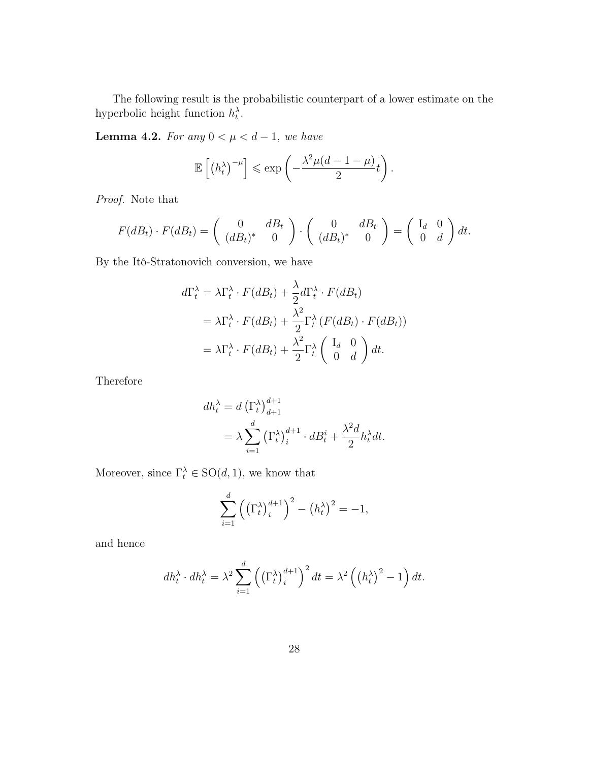The following result is the probabilistic counterpart of a lower estimate on the hyperbolic height function  $h_t^{\lambda}$ .

Lemma 4.2. For any  $0 < \mu < d-1$ , we have

$$
\mathbb{E}\left[\left(h_t^{\lambda}\right)^{-\mu}\right] \leqslant \exp\left(-\frac{\lambda^2 \mu (d-1-\mu)}{2}t\right).
$$

Proof. Note that

$$
F(dB_t) \cdot F(dB_t) = \begin{pmatrix} 0 & dB_t \\ (dB_t)^* & 0 \end{pmatrix} \cdot \begin{pmatrix} 0 & dB_t \\ (dB_t)^* & 0 \end{pmatrix} = \begin{pmatrix} I_d & 0 \\ 0 & d \end{pmatrix} dt.
$$

By the Itô-Stratonovich conversion, we have

$$
d\Gamma_t^{\lambda} = \lambda \Gamma_t^{\lambda} \cdot F(dB_t) + \frac{\lambda}{2} d\Gamma_t^{\lambda} \cdot F(dB_t)
$$
  
=  $\lambda \Gamma_t^{\lambda} \cdot F(dB_t) + \frac{\lambda^2}{2} \Gamma_t^{\lambda} (F(dB_t) \cdot F(dB_t))$   
=  $\lambda \Gamma_t^{\lambda} \cdot F(dB_t) + \frac{\lambda^2}{2} \Gamma_t^{\lambda} \begin{pmatrix} I_d & 0 \\ 0 & d \end{pmatrix} dt.$ 

Therefore

$$
dh_t^{\lambda} = d \left(\Gamma_t^{\lambda}\right)_{d+1}^{d+1}
$$
  
=  $\lambda \sum_{i=1}^d \left(\Gamma_t^{\lambda}\right)_i^{d+1} \cdot dB_t^i + \frac{\lambda^2 d}{2} h_t^{\lambda} dt.$ 

Moreover, since  $\Gamma_t^{\lambda} \in SO(d, 1)$ , we know that

$$
\sum_{i=1}^{d} \left( \left( \Gamma_t^{\lambda} \right)_i^{d+1} \right)^2 - \left( h_t^{\lambda} \right)^2 = -1,
$$

and hence

$$
dh_t^{\lambda} \cdot dh_t^{\lambda} = \lambda^2 \sum_{i=1}^d \left( \left( \Gamma_t^{\lambda} \right)_i^{d+1} \right)^2 dt = \lambda^2 \left( \left( h_t^{\lambda} \right)^2 - 1 \right) dt.
$$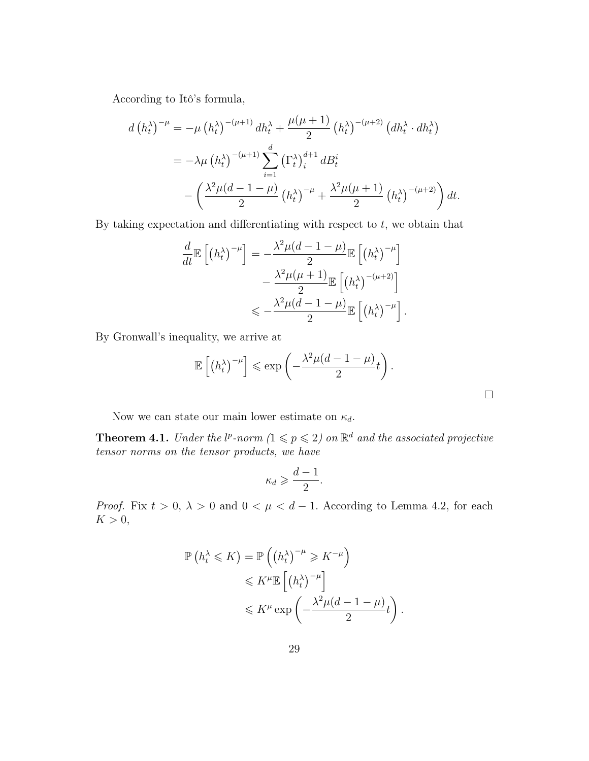According to Itô's formula,

$$
d(h_t^{\lambda})^{-\mu} = -\mu(h_t^{\lambda})^{-(\mu+1)} dh_t^{\lambda} + \frac{\mu(\mu+1)}{2} (h_t^{\lambda})^{-(\mu+2)} (dh_t^{\lambda} \cdot dh_t^{\lambda})
$$
  

$$
= -\lambda \mu(h_t^{\lambda})^{-(\mu+1)} \sum_{i=1}^d (\Gamma_t^{\lambda})_i^{d+1} dB_t^i
$$
  

$$
- \left( \frac{\lambda^2 \mu (d-1-\mu)}{2} (h_t^{\lambda})^{-\mu} + \frac{\lambda^2 \mu(\mu+1)}{2} (h_t^{\lambda})^{-(\mu+2)} \right) dt.
$$

By taking expectation and differentiating with respect to  $t$ , we obtain that

$$
\frac{d}{dt} \mathbb{E} \left[ \left( h_t^{\lambda} \right)^{-\mu} \right] = -\frac{\lambda^2 \mu (d - 1 - \mu)}{2} \mathbb{E} \left[ \left( h_t^{\lambda} \right)^{-\mu} \right] \n- \frac{\lambda^2 \mu (\mu + 1)}{2} \mathbb{E} \left[ \left( h_t^{\lambda} \right)^{-(\mu + 2)} \right] \n\leq -\frac{\lambda^2 \mu (d - 1 - \mu)}{2} \mathbb{E} \left[ \left( h_t^{\lambda} \right)^{-\mu} \right].
$$

By Gronwall's inequality, we arrive at

$$
\mathbb{E}\left[\left(h_t^{\lambda}\right)^{-\mu}\right] \leqslant \exp\left(-\frac{\lambda^2 \mu (d-1-\mu)}{2}t\right).
$$

Now we can state our main lower estimate on  $\kappa_d$ .

**Theorem 4.1.** Under the  $l^p$ -norm  $(1 \leq p \leq 2)$  on  $\mathbb{R}^d$  and the associated projective tensor norms on the tensor products, we have

$$
\kappa_d \geqslant \frac{d-1}{2}.
$$

*Proof.* Fix  $t > 0$ ,  $\lambda > 0$  and  $0 < \mu < d - 1$ . According to Lemma 4.2, for each  $K > 0$ ,

$$
\mathbb{P}\left(h_t^{\lambda} \leqslant K\right) = \mathbb{P}\left(\left(h_t^{\lambda}\right)^{-\mu} \geqslant K^{-\mu}\right)
$$
  

$$
\leqslant K^{\mu} \mathbb{E}\left[\left(h_t^{\lambda}\right)^{-\mu}\right]
$$
  

$$
\leqslant K^{\mu} \exp\left(-\frac{\lambda^2 \mu (d-1-\mu)}{2}t\right)
$$

.

 $\Box$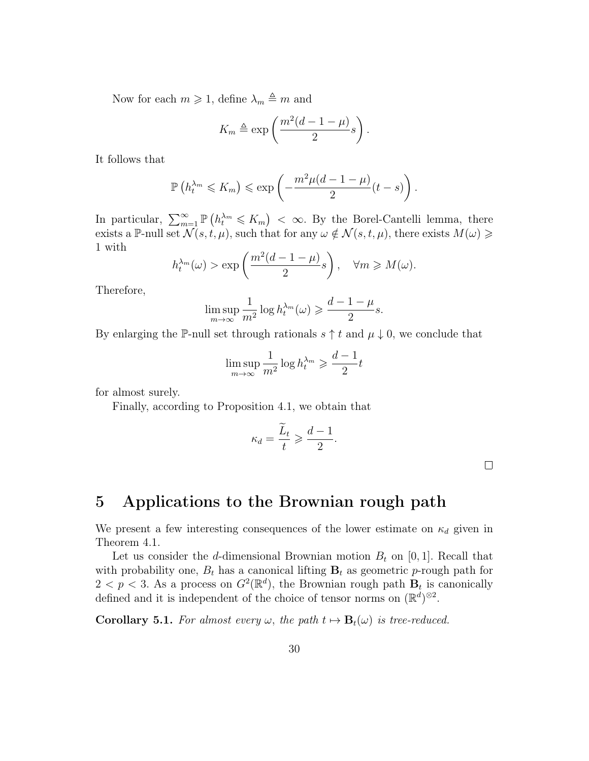Now for each  $m \geq 1$ , define  $\lambda_m \triangleq m$  and

$$
K_m \triangleq \exp\left(\frac{m^2(d-1-\mu)}{2}s\right).
$$

It follows that

$$
\mathbb{P}\left(h_t^{\lambda_m} \leqslant K_m\right) \leqslant \exp\left(-\frac{m^2\mu(d-1-\mu)}{2}(t-s)\right).
$$

In particular,  $\sum_{m=1}^{\infty} \mathbb{P}\left(h_t^{\lambda_m} \leqslant K_m\right)$  <  $\infty$ . By the Borel-Cantelli lemma, there exists a P-null set  $\mathcal{N}(s,t,\mu)$ , such that for any  $\omega \notin \mathcal{N}(s,t,\mu)$ , there exists  $M(\omega) \geq$ 1 with

$$
h_t^{\lambda_m}(\omega) > \exp\left(\frac{m^2(d-1-\mu)}{2}s\right), \quad \forall m \ge M(\omega).
$$

Therefore,

$$
\limsup_{m \to \infty} \frac{1}{m^2} \log h_t^{\lambda_m}(\omega) \geqslant \frac{d-1-\mu}{2} s.
$$

By enlarging the P-null set through rationals  $s \uparrow t$  and  $\mu \downarrow 0$ , we conclude that

$$
\limsup_{m\to\infty}\frac{1}{m^2}\log h_t^{\lambda_m}\geqslant \frac{d-1}{2}t
$$

for almost surely.

Finally, according to Proposition 4.1, we obtain that

$$
\kappa_d = \frac{\widetilde{L}_t}{t} \geqslant \frac{d-1}{2}
$$

.

 $\Box$ 

### 5 Applications to the Brownian rough path

We present a few interesting consequences of the lower estimate on  $\kappa_d$  given in Theorem 4.1.

Let us consider the d-dimensional Brownian motion  $B_t$  on [0, 1]. Recall that with probability one,  $B_t$  has a canonical lifting  $\mathbf{B}_t$  as geometric p-rough path for  $2 < p < 3$ . As a process on  $G^2(\mathbb{R}^d)$ , the Brownian rough path  $\mathbf{B}_t$  is canonically defined and it is independent of the choice of tensor norms on  $(\mathbb{R}^d)^{\otimes 2}$ .

**Corollary 5.1.** For almost every  $\omega$ , the path  $t \mapsto B_t(\omega)$  is tree-reduced.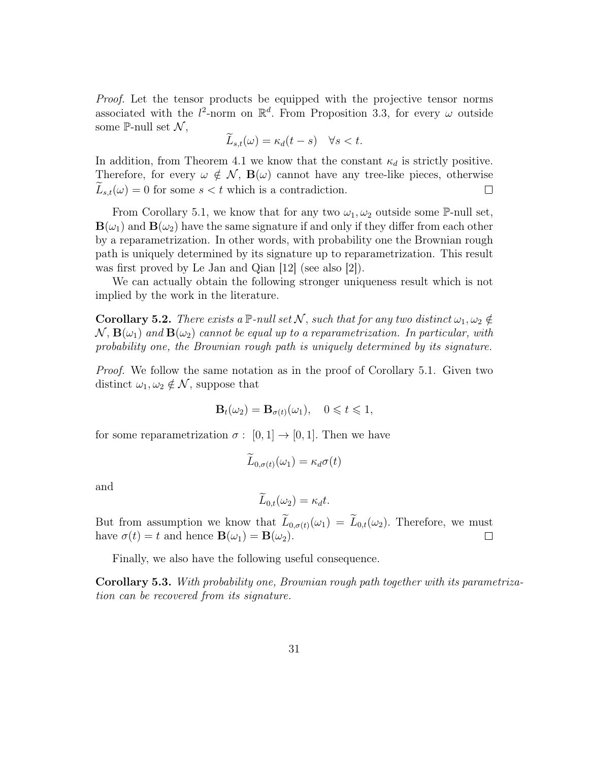Proof. Let the tensor products be equipped with the projective tensor norms associated with the  $l^2$ -norm on  $\mathbb{R}^d$ . From Proposition 3.3, for every  $\omega$  outside some P-null set  $\mathcal{N}$ ,

$$
\widetilde{L}_{s,t}(\omega) = \kappa_d(t-s) \quad \forall s < t
$$

In addition, from Theorem 4.1 we know that the constant  $\kappa_d$  is strictly positive. Therefore, for every  $\omega \notin \mathcal{N}$ ,  $\mathbf{B}(\omega)$  cannot have any tree-like pieces, otherwise  $L_{s,t}(\omega) = 0$  for some  $s < t$  which is a contradiction.  $\Box$ 

From Corollary 5.1, we know that for any two  $\omega_1, \omega_2$  outside some P-null set,  $\mathbf{B}(\omega_1)$  and  $\mathbf{B}(\omega_2)$  have the same signature if and only if they differ from each other by a reparametrization. In other words, with probability one the Brownian rough path is uniquely determined by its signature up to reparametrization. This result was first proved by Le Jan and Qian [12] (see also [2]).

We can actually obtain the following stronger uniqueness result which is not implied by the work in the literature.

**Corollary 5.2.** There exists a  $\mathbb{P}\text{-null set } \mathcal{N}$ , such that for any two distinct  $\omega_1, \omega_2 \notin$  $\mathcal{N}, \mathbf{B}(\omega_1)$  and  $\mathbf{B}(\omega_2)$  cannot be equal up to a reparametrization. In particular, with probability one, the Brownian rough path is uniquely determined by its signature.

*Proof.* We follow the same notation as in the proof of Corollary 5.1. Given two distinct  $\omega_1, \omega_2 \notin \mathcal{N}$ , suppose that

$$
\mathbf{B}_t(\omega_2) = \mathbf{B}_{\sigma(t)}(\omega_1), \quad 0 \leqslant t \leqslant 1,
$$

for some reparametrization  $\sigma : [0,1] \to [0,1]$ . Then we have

$$
\widetilde{L}_{0,\sigma(t)}(\omega_1) = \kappa_d \sigma(t)
$$

and

$$
\widetilde{L}_{0,t}(\omega_2) = \kappa_d t.
$$

But from assumption we know that  $\widetilde{L}_{0,\sigma(t)}(\omega_1) = \widetilde{L}_{0,t}(\omega_2)$ . Therefore, we must have  $\sigma(t) = t$  and hence  $\mathbf{B}(\omega_1) = \mathbf{B}(\omega_2)$ . have  $\sigma(t) = t$  and hence  $\mathbf{B}(\omega_1) = \mathbf{B}(\omega_2)$ .

Finally, we also have the following useful consequence.

Corollary 5.3. With probability one, Brownian rough path together with its parametrization can be recovered from its signature.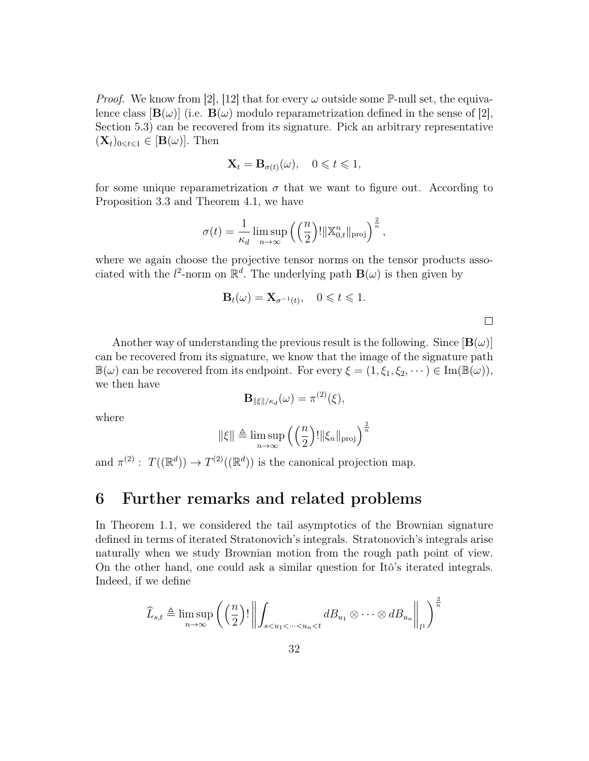*Proof.* We know from [2], [12] that for every  $\omega$  outside some P-null set, the equivalence class  $[\mathbf{B}(\omega)]$  (i.e.  $\mathbf{B}(\omega)$  modulo reparametrization defined in the sense of [2], Section 5.3) can be recovered from its signature. Pick an arbitrary representative  $(\mathbf{X}_t)_{0\leq t\leq 1} \in [\mathbf{B}(\omega)].$  Then

$$
\mathbf{X}_t = \mathbf{B}_{\sigma(t)}(\omega), \quad 0 \leqslant t \leqslant 1,
$$

for some unique reparametrization  $\sigma$  that we want to figure out. According to Proposition 3.3 and Theorem 4.1, we have

$$
\sigma(t) = \frac{1}{\kappa_d} \limsup_{n \to \infty} \left( \left( \frac{n}{2} \right)! \|\mathbb{X}_{0,t}^n\|_{\text{proj}} \right)^{\frac{2}{n}},
$$

where we again choose the projective tensor norms on the tensor products associated with the  $l^2$ -norm on  $\mathbb{R}^d$ . The underlying path  $\mathbf{B}(\omega)$  is then given by

$$
\mathbf{B}_t(\omega) = \mathbf{X}_{\sigma^{-1}(t)}, \quad 0 \leqslant t \leqslant 1.
$$

 $\Box$ 

Another way of understanding the previous result is the following. Since  $[\mathbf{B}(\omega)]$ can be recovered from its signature, we know that the image of the signature path  $\mathbb{B}(\omega)$  can be recovered from its endpoint. For every  $\xi = (1, \xi_1, \xi_2, \dots) \in \text{Im}(\mathbb{B}(\omega)),$ we then have

$$
\mathbf{B}_{\|\xi\|/\kappa_d}(\omega) = \pi^{(2)}(\xi),
$$

where

$$
\|\xi\| \triangleq \limsup_{n \to \infty} \left( \left( \frac{n}{2} \right)! \|\xi_n\|_{\text{proj}} \right)^{\frac{2}{n}}
$$

and  $\pi^{(2)}$ :  $T((\mathbb{R}^d)) \to T^{(2)}((\mathbb{R}^d))$  is the canonical projection map.

### 6 Further remarks and related problems

In Theorem 1.1, we considered the tail asymptotics of the Brownian signature defined in terms of iterated Stratonovich's integrals. Stratonovich's integrals arise naturally when we study Brownian motion from the rough path point of view. On the other hand, one could ask a similar question for Itô's iterated integrals. Indeed, if we define

$$
\widehat{L}_{s,t} \triangleq \limsup_{n \to \infty} \left( \left( \frac{n}{2} \right)! \left\| \int_{s < u_1 < \dots < u_n < t} d B_{u_1} \otimes \dots \otimes d B_{u_n} \right\|_{l^1} \right)^{\frac{2}{n}}
$$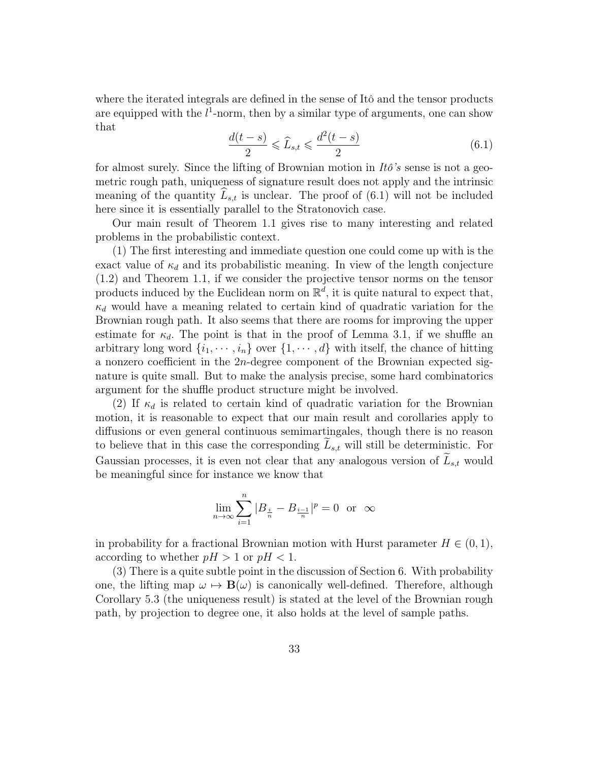where the iterated integrals are defined in the sense of Itô and the tensor products are equipped with the  $l^1$ -norm, then by a similar type of arguments, one can show that

$$
\frac{d(t-s)}{2} \leq \widehat{L}_{s,t} \leq \frac{d^2(t-s)}{2} \tag{6.1}
$$

for almost surely. Since the lifting of Brownian motion in  $It\delta$ 's sense is not a geometric rough path, uniqueness of signature result does not apply and the intrinsic meaning of the quantity  $L_{s,t}$  is unclear. The proof of (6.1) will not be included here since it is essentially parallel to the Stratonovich case.

Our main result of Theorem 1.1 gives rise to many interesting and related problems in the probabilistic context.

(1) The first interesting and immediate question one could come up with is the exact value of  $\kappa_d$  and its probabilistic meaning. In view of the length conjecture (1.2) and Theorem 1.1, if we consider the projective tensor norms on the tensor products induced by the Euclidean norm on  $\mathbb{R}^d$ , it is quite natural to expect that,  $\kappa_d$  would have a meaning related to certain kind of quadratic variation for the Brownian rough path. It also seems that there are rooms for improving the upper estimate for  $\kappa_d$ . The point is that in the proof of Lemma 3.1, if we shuffle an arbitrary long word  $\{i_1, \dots, i_n\}$  over  $\{1, \dots, d\}$  with itself, the chance of hitting a nonzero coefficient in the 2n-degree component of the Brownian expected signature is quite small. But to make the analysis precise, some hard combinatorics argument for the shuffle product structure might be involved.

(2) If  $\kappa_d$  is related to certain kind of quadratic variation for the Brownian motion, it is reasonable to expect that our main result and corollaries apply to diffusions or even general continuous semimartingales, though there is no reason to believe that in this case the corresponding  $\tilde{L}_{s,t}$  will still be deterministic. For Gaussian processes, it is even not clear that any analogous version of  $L_{s,t}$  would be meaningful since for instance we know that

$$
\lim_{n\to\infty}\sum_{i=1}^n|B_{\frac{i}{n}}-B_{\frac{i-1}{n}}|^p=0\ \ \text{or}\ \ \infty
$$

in probability for a fractional Brownian motion with Hurst parameter  $H \in (0, 1)$ , according to whether  $pH > 1$  or  $pH < 1$ .

(3) There is a quite subtle point in the discussion of Section 6. With probability one, the lifting map  $\omega \mapsto \mathbf{B}(\omega)$  is canonically well-defined. Therefore, although Corollary 5.3 (the uniqueness result) is stated at the level of the Brownian rough path, by projection to degree one, it also holds at the level of sample paths.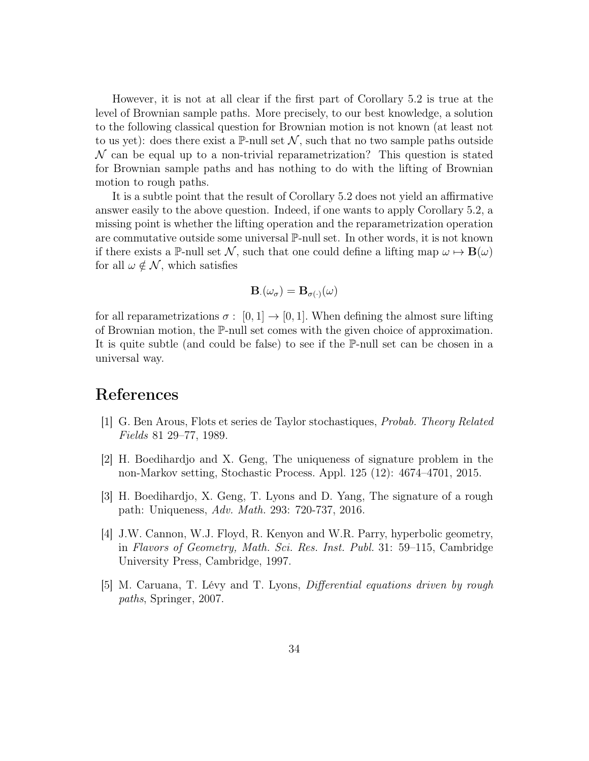However, it is not at all clear if the first part of Corollary 5.2 is true at the level of Brownian sample paths. More precisely, to our best knowledge, a solution to the following classical question for Brownian motion is not known (at least not to us yet): does there exist a  $\mathbb{P}\text{-null}$  set N, such that no two sample paths outside  $\mathcal N$  can be equal up to a non-trivial reparametrization? This question is stated for Brownian sample paths and has nothing to do with the lifting of Brownian motion to rough paths.

It is a subtle point that the result of Corollary 5.2 does not yield an affirmative answer easily to the above question. Indeed, if one wants to apply Corollary 5.2, a missing point is whether the lifting operation and the reparametrization operation are commutative outside some universal P-null set. In other words, it is not known if there exists a P-null set N, such that one could define a lifting map  $\omega \mapsto \mathbf{B}(\omega)$ for all  $\omega \notin \mathcal{N}$ , which satisfies

$$
\mathbf{B}_{\cdot}(\omega_{\sigma})=\mathbf{B}_{\sigma(\cdot)}(\omega)
$$

for all reparametrizations  $\sigma : [0,1] \to [0,1]$ . When defining the almost sure lifting of Brownian motion, the P-null set comes with the given choice of approximation. It is quite subtle (and could be false) to see if the P-null set can be chosen in a universal way.

### References

- [1] G. Ben Arous, Flots et series de Taylor stochastiques, Probab. Theory Related Fields 81 29–77, 1989.
- [2] H. Boedihardjo and X. Geng, The uniqueness of signature problem in the non-Markov setting, Stochastic Process. Appl. 125 (12): 4674–4701, 2015.
- [3] H. Boedihardjo, X. Geng, T. Lyons and D. Yang, The signature of a rough path: Uniqueness, Adv. Math. 293: 720-737, 2016.
- [4] J.W. Cannon, W.J. Floyd, R. Kenyon and W.R. Parry, hyperbolic geometry, in Flavors of Geometry, Math. Sci. Res. Inst. Publ. 31: 59–115, Cambridge University Press, Cambridge, 1997.
- [5] M. Caruana, T. Lévy and T. Lyons, Differential equations driven by rough paths, Springer, 2007.